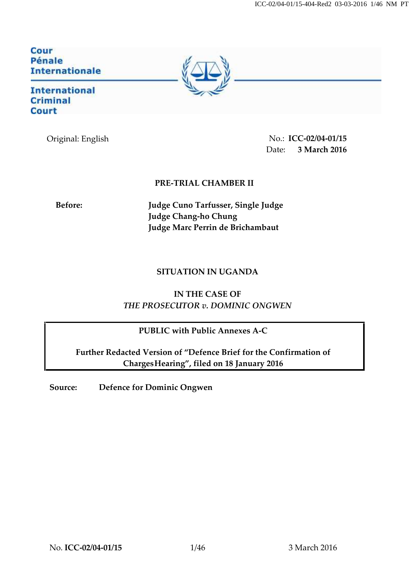Cour<br>Pénale **Internationale** 

**International Criminal Court** 

Original: English No.: **ICC-02/04-01/15** Date: **3 March 2016** 

## **PRE-TRIAL CHAMBER II**

**Before: Judge Cuno Tarfusser, Single Judge Judge Chang-ho Chung Judge Marc Perrin de Brichambaut**

## **SITUATION IN UGANDA**

**IN THE CASE OF** *THE PROSECUTOR v. DOMINIC ONGWEN*

## **PUBLIC with Public Annexes A-C**

**Further Redacted Version of "Defence Brief for the Confirmation of ChargesHearing", filed on 18 January 2016**

**Source: Defence for Dominic Ongwen**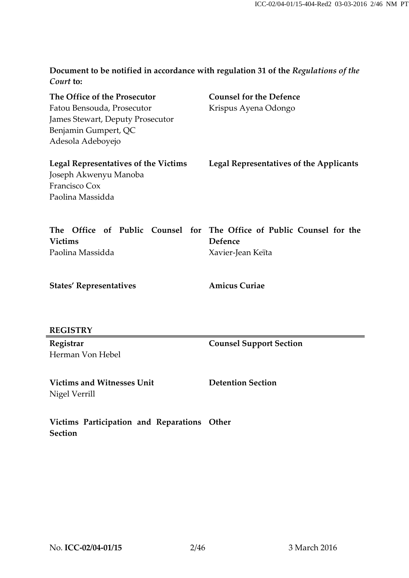**Document to be notified in accordance with regulation 31 of the** *Regulations of the Court* **to:**

| The Office of the Prosecutor                | <b>Counsel for the Defence</b>                                        |
|---------------------------------------------|-----------------------------------------------------------------------|
| Fatou Bensouda, Prosecutor                  | Krispus Ayena Odongo                                                  |
| <b>James Stewart, Deputy Prosecutor</b>     |                                                                       |
| Benjamin Gumpert, QC                        |                                                                       |
| Adesola Adeboyejo                           |                                                                       |
| <b>Legal Representatives of the Victims</b> | <b>Legal Representatives of the Applicants</b>                        |
| Joseph Akwenyu Manoba                       |                                                                       |
| Francisco Cox                               |                                                                       |
| Paolina Massidda                            |                                                                       |
|                                             | The Office of Public Counsel for The Office of Public Counsel for the |
| <b>Victims</b>                              | Defence                                                               |
| Paolina Massidda                            | Xavier-Jean Keïta                                                     |
| <b>States' Representatives</b>              | <b>Amicus Curiae</b>                                                  |
|                                             |                                                                       |
| <b>REGISTRY</b>                             |                                                                       |

**Registrar** Herman Von Hebel **Counsel Support Section**

**Victims and Witnesses Unit** Nigel Verrill

**Detention Section**

**Victims Participation and Reparations Other Section**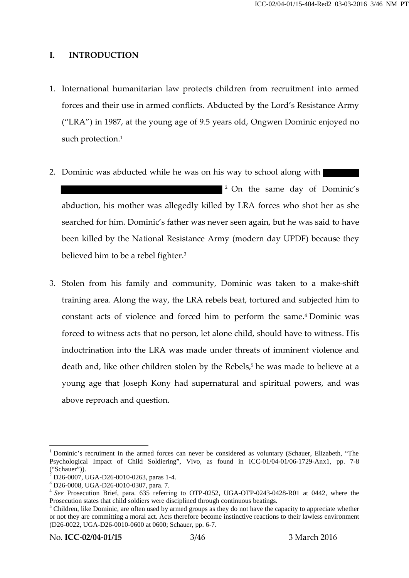### **I. INTRODUCTION**

- 1. International humanitarian law protects children from recruitment into armed forces and their use in armed conflicts. Abducted by the Lord's Resistance Army ("LRA") in 1987, at the young age of 9.5 years old, Ongwen Dominic enjoyed no such protection.<sup>1</sup>
- 2. Dominic was abducted while he was on his way to school along with <sup>2</sup> On the same day of Dominic's abduction, his mother was allegedly killed by LRA forces who shot her as she searched for him. Dominic's father was never seen again, but he was said to have been killed by the National Resistance Army (modern day UPDF) because they believed him to be a rebel fighter.<sup>3</sup>
- 3. Stolen from his family and community, Dominic was taken to a make-shift training area. Along the way, the LRA rebels beat, tortured and subjected him to constant acts of violence and forced him to perform the same.<sup>4</sup> Dominic was forced to witness acts that no person, let alone child, should have to witness. His indoctrination into the LRA was made under threats of imminent violence and death and, like other children stolen by the Rebels,<sup>5</sup> he was made to believe at a young age that Joseph Kony had supernatural and spiritual powers, and was above reproach and question.

<sup>&</sup>lt;sup>1</sup> Dominic's recruiment in the armed forces can never be considered as voluntary (Schauer, Elizabeth, "The Psychological Impact of Child Soldiering", Vivo, as found in ICC-01/04-01/06-1729-Anx1, pp. 7-8

 $\frac{3}{1}$  D26-0007, UGA-D26-0010-0263, paras 1-4.<br> $\frac{3}{1}$  D26-0008, UGA-D26-0010-0307, para. 7.<br> $\frac{4}{1}$  *See* Prosecution Brief, para. 635 referring to OTP-0252, UGA-OTP-0243-0428-R01 at 0442, where the Prosecution st

<sup>&</sup>lt;sup>5</sup> Children, like Dominic, are often used by armed groups as they do not have the capacity to appreciate whether or not they are committing a moral act. Acts therefore become instinctive reactions to their lawless environment (D26-0022, UGA-D26-0010-0600 at 0600; Schauer, pp. 6-7.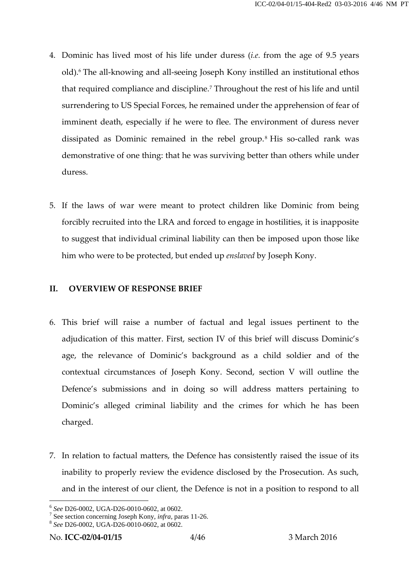- 4. Dominic has lived most of his life under duress (*i.e.* from the age of 9.5 years old).<sup>6</sup> The all-knowing and all-seeing Joseph Kony instilled an institutional ethos that required compliance and discipline.<sup>7</sup> Throughout the rest of his life and until surrendering to US Special Forces, he remained under the apprehension of fear of imminent death, especially if he were to flee. The environment of duress never dissipated as Dominic remained in the rebel group.<sup>8</sup> His so-called rank was demonstrative of one thing: that he was surviving better than others while under duress.
- 5. If the laws of war were meant to protect children like Dominic from being forcibly recruited into the LRA and forced to engage in hostilities, it is inapposite to suggest that individual criminal liability can then be imposed upon those like him who were to be protected, but ended up *enslaved* by Joseph Kony.

### **II. OVERVIEW OF RESPONSE BRIEF**

- 6. This brief will raise a number of factual and legal issues pertinent to the adjudication of this matter. First, section IV of this brief will discuss Dominic's age, the relevance of Dominic's background as a child soldier and of the contextual circumstances of Joseph Kony. Second, section V will outline the Defence's submissions and in doing so will address matters pertaining to Dominic's alleged criminal liability and the crimes for which he has been charged.
- 7. In relation to factual matters, the Defence has consistently raised the issue of its inability to properly review the evidence disclosed by the Prosecution. As such, and in the interest of our client, the Defence is not in a position to respond to all

<sup>6</sup> *See* D26-0002, UGA-D26-0010-0602, at 0602. <sup>7</sup> See section concerning Joseph Kony, *infra,* paras 11-26. <sup>8</sup> *See* D26-0002, UGA-D26-0010-0602, at 0602.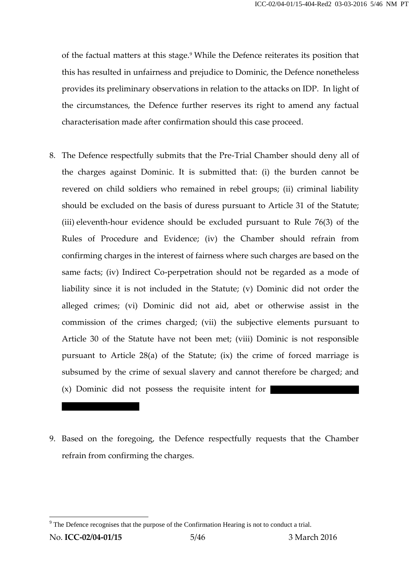of the factual matters at this stage.<sup>9</sup> While the Defence reiterates its position that this has resulted in unfairness and prejudice to Dominic, the Defence nonetheless provides its preliminary observations in relation to the attacks on IDP. In light of the circumstances, the Defence further reserves its right to amend any factual characterisation made after confirmation should this case proceed.

- 8. The Defence respectfully submits that the Pre-Trial Chamber should deny all of the charges against Dominic. It is submitted that: (i) the burden cannot be revered on child soldiers who remained in rebel groups; (ii) criminal liability should be excluded on the basis of duress pursuant to Article 31 of the Statute; (iii) eleventh-hour evidence should be excluded pursuant to Rule 76(3) of the Rules of Procedure and Evidence; (iv) the Chamber should refrain from confirming charges in the interest of fairness where such charges are based on the same facts; (iv) Indirect Co-perpetration should not be regarded as a mode of liability since it is not included in the Statute; (v) Dominic did not order the alleged crimes; (vi) Dominic did not aid, abet or otherwise assist in the commission of the crimes charged; (vii) the subjective elements pursuant to Article 30 of the Statute have not been met; (viii) Dominic is not responsible pursuant to Article 28(a) of the Statute; (ix) the crime of forced marriage is subsumed by the crime of sexual slavery and cannot therefore be charged; and Article 30 of the Statute have not been met; (viii) Dominic<br>pursuant to Article 28(a) of the Statute; (ix) the crime of a<br>subsumed by the crime of sexual slavery and cannot therefor<br>(x) Dominic did not possess the requisit
- 9. Based on the foregoing, the Defence respectfully requests that the Chamber refrain from confirming the charges.

 $9<sup>9</sup>$  The Defence recognises that the purpose of the Confirmation Hearing is not to conduct a trial.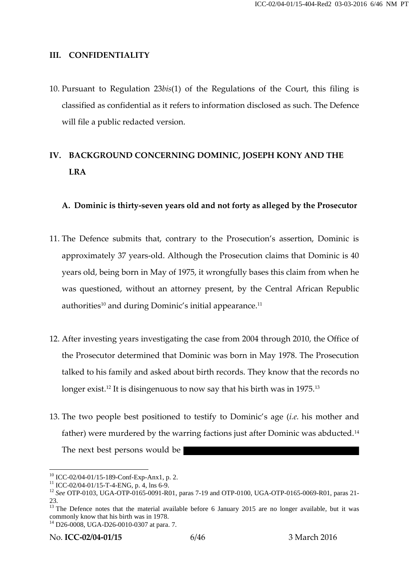#### **III. CONFIDENTIALITY**

10. Pursuant to Regulation 23*bis*(1) of the Regulations of the Court, this filing is classified as confidential as it refers to information disclosed as such. The Defence will file a public redacted version.

# **IV. BACKGROUND CONCERNING DOMINIC, JOSEPH KONY AND THE LRA**

### **A. Dominic is thirty-seven years old and not forty as alleged by the Prosecutor**

- 11. The Defence submits that, contrary to the Prosecution's assertion, Dominic is approximately 37 years-old. Although the Prosecution claims that Dominic is 40 years old, being born in May of 1975, it wrongfully bases this claim from when he was questioned, without an attorney present, by the Central African Republic authorities<sup>10</sup> and during Dominic's initial appearance.<sup>11</sup>
- 12. After investing years investigating the case from 2004 through 2010, the Office of the Prosecutor determined that Dominic was born in May 1978. The Prosecution talked to his family and asked about birth records. They know that the records no longer exist.<sup>12</sup> It is disingenuous to now say that his birth was in 1975.<sup>13</sup>
- 13. The two people best positioned to testify to Dominic's age (*i.e.* his mother and father) were murdered by the warring factions just after Dominic was abducted.<sup>14</sup> The next best persons would be

No. **ICC-02/04-01/15** 6/46 3 March 2016

<sup>&</sup>lt;sup>10</sup> ICC-02/04-01/15-189-Conf-Exp-Anx1, p. 2.<br><sup>11</sup> ICC-02/04-01/15-T-4-ENG, p. 4, lns 6-9.<br><sup>12</sup> *See* OTP-0103, UGA-OTP-0165-0091-R01, paras 7-19 and OTP-0100, UGA-OTP-0165-0069-R01, paras 21-

<sup>&</sup>lt;sup>13</sup> The Defence notes that the material available before 6 January 2015 are no longer available, but it was commonly know that his birth was in 1978.<br><sup>14</sup> D26-0008, UGA-D26-0010-0307 at para. 7.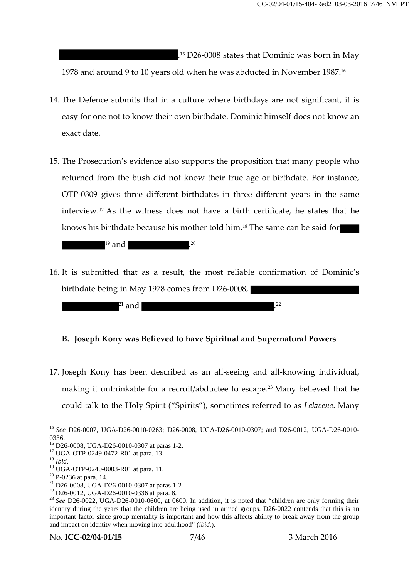.<sup>15</sup> D26-0008 states that Dominic was born in May 1978 and around 9 to 10 years old when he was abducted in November 1987.<sup>16</sup>

- 14. The Defence submits that in a culture where birthdays are not significant, it is easy for one not to know their own birthdate. Dominic himself does not know an exact date.
- 15. The Prosecution's evidence also supports the proposition that many people who returned from the bush did not know their true age or birthdate. For instance, OTP-0309 gives three different birthdates in three different years in the same interview.<sup>17</sup> As the witness does not have a birth certificate, he states that he knows his birthdate because his mother told him.<sup>18</sup> The same can be said for

 $19$  and  $120$ 

16. It is submitted that as a result, the most reliable confirmation of Dominic's birthdate being in May 1978 comes from D26-0008,



### **B. Joseph Kony was Believed to have Spiritual and Supernatural Powers**

17. Joseph Kony has been described as an all-seeing and all-knowing individual, making it unthinkable for a recruit/abductee to escape.<sup>23</sup> Many believed that he could talk to the Holy Spirit ("Spirits"), sometimes referred to as *Lakwena*. Many

<sup>15</sup> *See* D26-0007, UGA-D26-0010-0263; D26-0008, UGA-D26-0010-0307; and D26-0012, UGA-D26-0010- 0336.<br><sup>16</sup> D26-0008, UGA-D26-0010-0307 at paras 1-2.<br><sup>17</sup> UGA-OTP-0249-0472-R01 at para. 13.<br><sup>18</sup> *Ibid.*<br><sup>20</sup> UGA-OTP-0240-0003-R01 at para. 11.<br><sup>20</sup> P-0236 at para. 14.<br><sup>21</sup> D26-0008, UGA-D26-0010-0307 at paras 1-2<br><sup>22</sup>

<sup>&</sup>lt;sup>23</sup> See D26-0022, UGA-D26-0010-0600, at 0600. In addition, it is noted that "children are only forming their identity during the years that the children are being used in armed groups. D26-0022 contends that this is an important factor since group mentality is important and how this affects ability to break away from the group and impact on identity when moving into adulthood" (*ibid.*).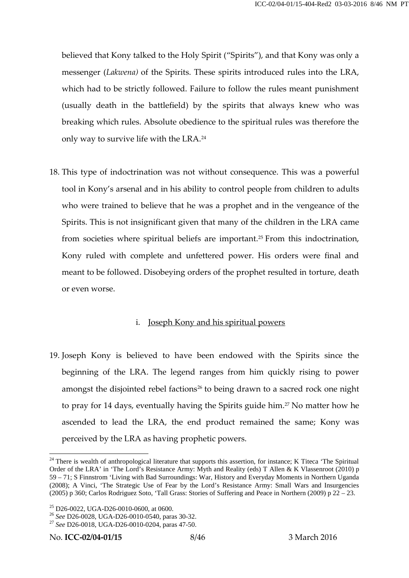believed that Kony talked to the Holy Spirit ("Spirits"), and that Kony was only a messenger (*Lakwena)* of the Spirits. These spirits introduced rules into the LRA, which had to be strictly followed. Failure to follow the rules meant punishment (usually death in the battlefield) by the spirits that always knew who was breaking which rules. Absolute obedience to the spiritual rules was therefore the only way to survive life with the LRA.<sup>24</sup>

18. This type of indoctrination was not without consequence. This was a powerful tool in Kony's arsenal and in his ability to control people from children to adults who were trained to believe that he was a prophet and in the vengeance of the Spirits. This is not insignificant given that many of the children in the LRA came from societies where spiritual beliefs are important.<sup>25</sup> From this indoctrination, Kony ruled with complete and unfettered power. His orders were final and meant to be followed. Disobeying orders of the prophet resulted in torture, death or even worse.

#### i. Joseph Kony and his spiritual powers

19. Joseph Kony is believed to have been endowed with the Spirits since the beginning of the LRA. The legend ranges from him quickly rising to power amongst the disjointed rebel factions<sup>26</sup> to being drawn to a sacred rock one night to pray for 14 days, eventually having the Spirits guide him.<sup>27</sup> No matter how he ascended to lead the LRA, the end product remained the same; Kony was perceived by the LRA as having prophetic powers.

<sup>&</sup>lt;sup>24</sup> There is wealth of anthropological literature that supports this assertion, for instance; K Titeca 'The Spiritual Order of the LRA' in 'The Lord's Resistance Army: Myth and Reality (eds) T Allen & K Vlassenroot (2010) p 59 – 71; S Finnstrom 'Living with Bad Surroundings: War, History and Everyday Moments in Northern Uganda (2008); A Vinci, 'The Strategic Use of Fear by the Lord's Resistance Army: Small Wars and Insurgencies (2005) p 360; Carlos Rodriguez Soto, 'Tall Grass: Stories of Suffering and Peace in Northern (2009) p 22 – 23.

<sup>&</sup>lt;sup>25</sup> D26-0022, UGA-D26-0010-0600, at 0600.<br><sup>26</sup> *See* D26-0028, UGA-D26-0010-0540, paras 30-32.<br><sup>27</sup> *See* D26-0018, UGA-D26-0010-0204, paras 47-50.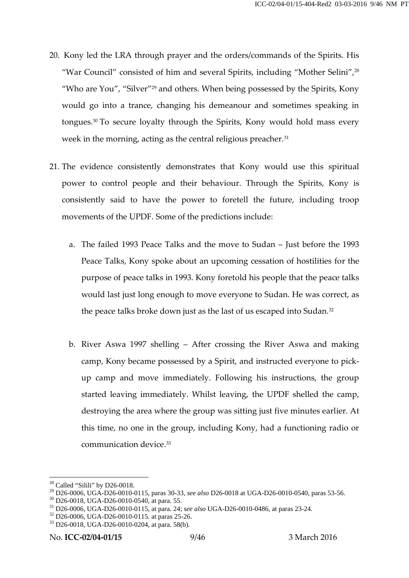- 20. Kony led the LRA through prayer and the orders/commands of the Spirits. His "War Council" consisted of him and several Spirits, including "Mother Selini",<sup>28</sup> "Who are You", "Silver" <sup>29</sup> and others. When being possessed by the Spirits, Kony would go into a trance, changing his demeanour and sometimes speaking in tongues.<sup>30</sup> To secure loyalty through the Spirits, Kony would hold mass every week in the morning, acting as the central religious preacher.<sup>31</sup>
- 21. The evidence consistently demonstrates that Kony would use this spiritual power to control people and their behaviour. Through the Spirits, Kony is consistently said to have the power to foretell the future, including troop movements of the UPDF. Some of the predictions include:
	- a. The failed 1993 Peace Talks and the move to Sudan Just before the 1993 Peace Talks, Kony spoke about an upcoming cessation of hostilities for the purpose of peace talks in 1993. Kony foretold his people that the peace talks would last just long enough to move everyone to Sudan. He was correct, as the peace talks broke down just as the last of us escaped into Sudan.<sup>32</sup>
	- b. River Aswa 1997 shelling After crossing the River Aswa and making camp, Kony became possessed by a Spirit, and instructed everyone to pick up camp and move immediately. Following his instructions, the group started leaving immediately. Whilst leaving, the UPDF shelled the camp, destroying the area where the group was sitting just five minutes earlier. At this time, no one in the group, including Kony, had a functioning radio or communication device.<sup>33</sup>

<sup>&</sup>lt;sup>28</sup> Called "Silili" by D26-0018.<br><sup>29</sup> D26-0006, UGA-D26-0010-0115, paras 30-33, *see also* D26-0018 at UGA-D26-0010-0540, paras 53-56.

<sup>&</sup>lt;sup>30</sup> D26-0018, UGA-D26-0010-0540, at para. 55.<br><sup>31</sup> D26-0006, UGA-D26-0010-0115, at para. 24; *see also* UGA-D26-0010-0486, at paras 23-24.<br><sup>32</sup> D26-0006, UGA-D26-0010-0115. at paras 25-26.<br><sup>33</sup> D26-0018, UGA-D26-0010-020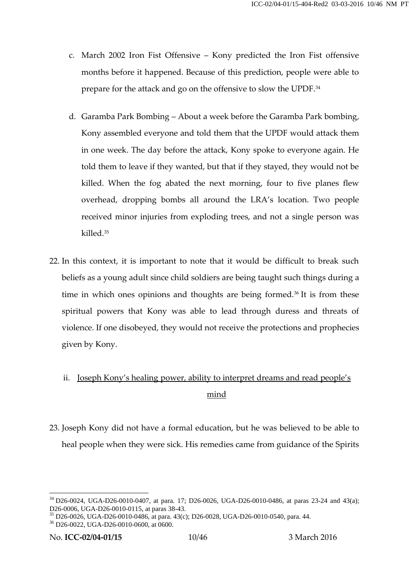- c. March 2002 Iron Fist Offensive Kony predicted the Iron Fist offensive months before it happened. Because of this prediction, people were able to prepare for the attack and go on the offensive to slow the UPDF.<sup>34</sup>
- d. Garamba Park Bombing About a week before the Garamba Park bombing, Kony assembled everyone and told them that the UPDF would attack them in one week. The day before the attack, Kony spoke to everyone again. He told them to leave if they wanted, but that if they stayed, they would not be killed. When the fog abated the next morning, four to five planes flew overhead, dropping bombs all around the LRA's location. Two people received minor injuries from exploding trees, and not a single person was killed.<sup>35</sup>
- 22. In this context, it is important to note that it would be difficult to break such beliefs as a young adult since child soldiers are being taught such things during a time in which ones opinions and thoughts are being formed.<sup>36</sup> It is from these spiritual powers that Kony was able to lead through duress and threats of violence. If one disobeyed, they would not receive the protections and prophecies given by Kony.

# ii. Joseph Kony's healing power, ability to interpret dreams and read people's mind

23. Joseph Kony did not have a formal education, but he was believed to be able to heal people when they were sick. His remedies came from guidance of the Spirits

 $34$  D26-0024, UGA-D26-0010-0407, at para. 17; D26-0026, UGA-D26-0010-0486, at paras 23-24 and 43(a); D26-0006, UGA-D26-0010-0115, at paras 38-43.

 $^{35}$  D26-0026, UGA-D26-0010-0486, at para. 43(c); D26-0028, UGA-D26-0010-0540, para. 44.  $^{36}$  D26-0022, UGA-D26-0010-0600, at 0600.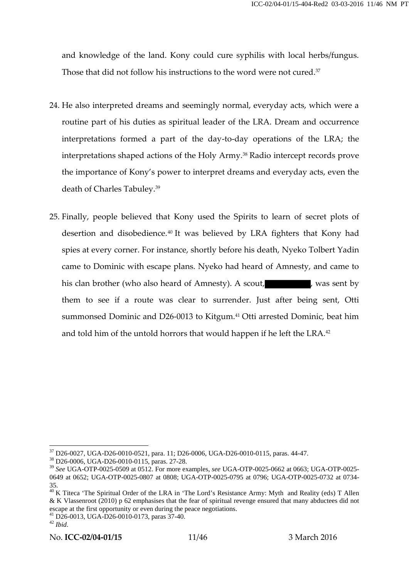and knowledge of the land. Kony could cure syphilis with local herbs/fungus. Those that did not follow his instructions to the word were not cured.<sup>37</sup>

- 24. He also interpreted dreams and seemingly normal, everyday acts, which were a routine part of his duties as spiritual leader of the LRA. Dream and occurrence interpretations formed a part of the day-to-day operations of the LRA; the interpretations shaped actions of the Holy Army.<sup>38</sup> Radio intercept records prove the importance of Kony's power to interpret dreams and everyday acts, even the death of Charles Tabuley.<sup>39</sup>
- 25. Finally, people believed that Kony used the Spirits to learn of secret plots of desertion and disobedience.<sup>40</sup> It was believed by LRA fighters that Kony had spies at every corner. For instance, shortly before his death, Nyeko Tolbert Yadin came to Dominic with escape plans. Nyeko had heard of Amnesty, and came to his clan brother (who also heard of Amnesty). A scout, was sent by them to see if a route was clear to surrender. Just after being sent, Otti summonsed Dominic and D26-0013 to Kitgum.<sup>41</sup> Otti arrested Dominic, beat him and told him of the untold horrors that would happen if he left the LRA.<sup>42</sup>

 $37$  D26-0027, UGA-D26-0010-0521, para. 11; D26-0006, UGA-D26-0010-0115, paras. 44-47.<br> $38$  D26-0006, UGA-D26-0010-0115, paras. 27-28.

<sup>39</sup> *See* UGA-OTP-0025-0509 at 0512. For more examples, *see* UGA-OTP-0025-0662 at 0663; UGA-OTP-0025- 0649 at 0652; UGA-OTP-0025-0807 at 0808; UGA-OTP-0025-0795 at 0796; UGA-OTP-0025-0732 at 0734-

<sup>&</sup>lt;sup>40</sup> K Titeca 'The Spiritual Order of the LRA in 'The Lord's Resistance Army: Myth and Reality (eds) T Allen & K Vlassenroot (2010) p 62 emphasises that the fear of spiritual revenge ensured that many abductees did not

escape at the first or even during the peace negotiations. 41 D26-0013, UGA-D26-0010-0173, paras 37-40.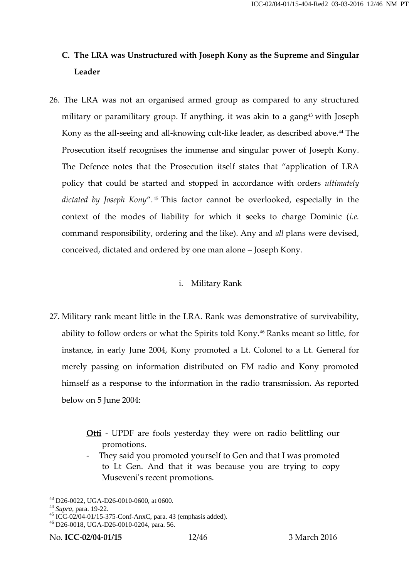# **C. The LRA was Unstructured with Joseph Kony as the Supreme and Singular Leader**

26. The LRA was not an organised armed group as compared to any structured military or paramilitary group. If anything, it was akin to a gang<sup>43</sup> with Joseph Kony as the all-seeing and all-knowing cult-like leader, as described above.<sup>44</sup> The Prosecution itself recognises the immense and singular power of Joseph Kony. The Defence notes that the Prosecution itself states that "application of LRA policy that could be started and stopped in accordance with orders *ultimately dictated by Joseph Kony*". <sup>45</sup> This factor cannot be overlooked, especially in the context of the modes of liability for which it seeks to charge Dominic (*i.e.* command responsibility, ordering and the like). Any and *all* plans were devised, conceived, dictated and ordered by one man alone – Joseph Kony.

### i. Military Rank

- 27. Military rank meant little in the LRA. Rank was demonstrative of survivability, ability to follow orders or what the Spirits told Kony.<sup>46</sup> Ranks meant so little, for instance, in early June 2004, Kony promoted a Lt. Colonel to a Lt. General for merely passing on information distributed on FM radio and Kony promoted himself as a response to the information in the radio transmission. As reported below on 5 June 2004:
	- **Otti** UPDF are fools yesterday they were on radio belittling our promotions.
	- They said you promoted yourself to Gen and that I was promoted to Lt Gen. And that it was because you are trying to copy Museveni's recent promotions.

<sup>&</sup>lt;sup>43</sup> D26-0022, UGA-D26-0010-0600, at 0600.<br><sup>44</sup> *Supra*, para. 19-22.<br><sup>45</sup> ICC-02/04-01/15-375-Conf-AnxC, para. 43 (emphasis added).<br><sup>46</sup> D26-0018, UGA-D26-0010-0204, para. 56.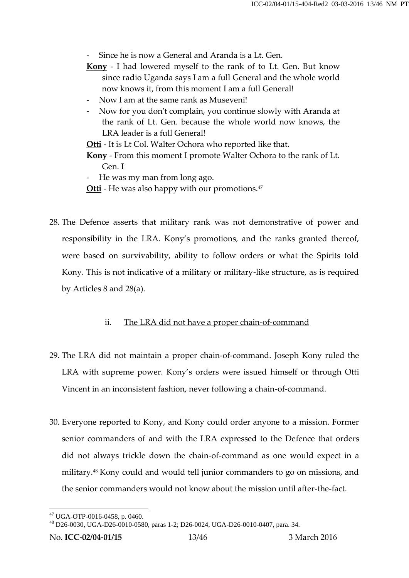Since he is now a General and Aranda is a Lt. Gen.

- **Kony** I had lowered myself to the rank of to Lt. Gen. But know since radio Uganda says I am a full General and the whole world now knows it, from this moment I am a full General!
- Now I am at the same rank as Museveni!
- Now for you don't complain, you continue slowly with Aranda at the rank of Lt. Gen. because the whole world now knows, the LRA leader is a full General!

**Otti** - It is Lt Col. Walter Ochora who reported like that.

**Kony** - From this moment I promote Walter Ochora to the rank of Lt. Gen. I

- He was my man from long ago.
- **Otti** He was also happy with our promotions.<sup>47</sup>
- 28. The Defence asserts that military rank was not demonstrative of power and responsibility in the LRA. Kony's promotions, and the ranks granted thereof, were based on survivability, ability to follow orders or what the Spirits told Kony. This is not indicative of a military or military-like structure, as is required by Articles 8 and 28(a).

## ii. The LRA did not have a proper chain-of-command

- 29. The LRA did not maintain a proper chain-of-command. Joseph Kony ruled the LRA with supreme power. Kony's orders were issued himself or through Otti Vincent in an inconsistent fashion, never following a chain-of-command.
- 30. Everyone reported to Kony, and Kony could order anyone to a mission. Former senior commanders of and with the LRA expressed to the Defence that orders did not always trickle down the chain-of-command as one would expect in a military.<sup>48</sup> Kony could and would tell junior commanders to go on missions, and the senior commanders would not know about the mission until after-the-fact.

 $^{47}$  UGA-OTP-0016-0458, p. 0460.<br> $^{48}$  D26-0030, UGA-D26-0010-0580, paras 1-2; D26-0024, UGA-D26-0010-0407, para. 34.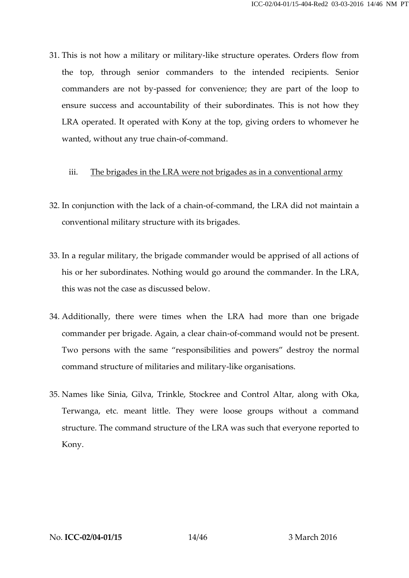31. This is not how a military or military-like structure operates. Orders flow from the top, through senior commanders to the intended recipients. Senior commanders are not by-passed for convenience; they are part of the loop to ensure success and accountability of their subordinates. This is not how they LRA operated. It operated with Kony at the top, giving orders to whomever he wanted, without any true chain-of-command.

### iii. The brigades in the LRA were not brigades as in a conventional army

- 32. In conjunction with the lack of a chain-of-command, the LRA did not maintain a conventional military structure with its brigades.
- 33. In a regular military, the brigade commander would be apprised of all actions of his or her subordinates. Nothing would go around the commander. In the LRA, this was not the case as discussed below.
- 34. Additionally, there were times when the LRA had more than one brigade commander per brigade. Again, a clear chain-of-command would not be present. Two persons with the same "responsibilities and powers" destroy the normal command structure of militaries and military-like organisations.
- 35. Names like Sinia, Gilva, Trinkle, Stockree and Control Altar, along with Oka, Terwanga, etc. meant little. They were loose groups without a command structure. The command structure of the LRA was such that everyone reported to Kony.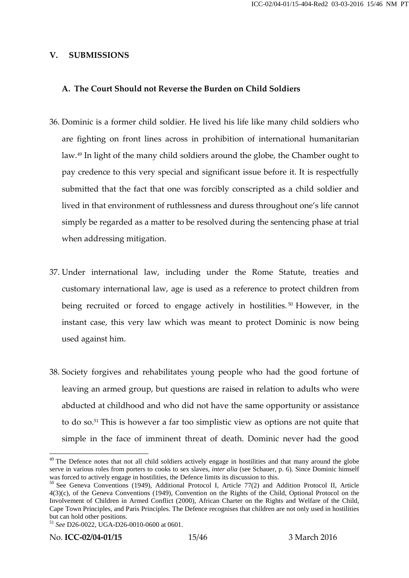#### **V. SUBMISSIONS**

### **A. The Court Should not Reverse the Burden on Child Soldiers**

- 36. Dominic is a former child soldier. He lived his life like many child soldiers who are fighting on front lines across in prohibition of international humanitarian law.<sup>49</sup> In light of the many child soldiers around the globe, the Chamber ought to pay credence to this very special and significant issue before it. It is respectfully submitted that the fact that one was forcibly conscripted as a child soldier and lived in that environment of ruthlessness and duress throughout one's life cannot simply be regarded as a matter to be resolved during the sentencing phase at trial when addressing mitigation.
- 37. Under international law, including under the Rome Statute, treaties and customary international law, age is used as a reference to protect children from being recruited or forced to engage actively in hostilities. <sup>50</sup> However, in the instant case, this very law which was meant to protect Dominic is now being used against him.
- 38. Society forgives and rehabilitates young people who had the good fortune of leaving an armed group, but questions are raised in relation to adults who were abducted at childhood and who did not have the same opportunity or assistance to do so.<sup>51</sup> This is however a far too simplistic view as options are not quite that simple in the face of imminent threat of death. Dominic never had the good

<sup>&</sup>lt;sup>49</sup> The Defence notes that not all child soldiers actively engage in hostilities and that many around the globe serve in various roles from porters to cooks to sex slaves, *inter alia* (see Schauer, p. 6). Since Dominic himself was forced to actively engage in hostilities, the Defence limits its discussion to this.

<sup>&</sup>lt;sup>50</sup> See Geneva Conventions (1949), Additional Protocol I, Article 77(2) and Addition Protocol II, Article 4(3)(c), of the Geneva Conventions (1949), Convention on the Rights of the Child, Optional Protocol on the Involvement of Children in Armed Conflict (2000), African Charter on the Rights and Welfare of the Child, Cape Town Principles, and Paris Principles. The Defence recognises that children are not only used in hostilities but can hold other positions. <sup>51</sup> *See* D26-0022, UGA-D26-0010-0600 at 0601.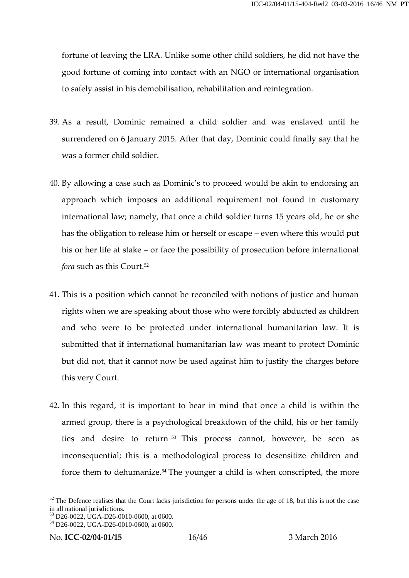fortune of leaving the LRA. Unlike some other child soldiers, he did not have the good fortune of coming into contact with an NGO or international organisation to safely assist in his demobilisation, rehabilitation and reintegration.

- 39. As a result, Dominic remained a child soldier and was enslaved until he surrendered on 6 January 2015. After that day, Dominic could finally say that he was a former child soldier.
- 40. By allowing a case such as Dominic's to proceed would be akin to endorsing an approach which imposes an additional requirement not found in customary international law; namely, that once a child soldier turns 15 years old, he or she has the obligation to release him or herself or escape – even where this would put his or her life at stake – or face the possibility of prosecution before international *fora* such as this Court.<sup>52</sup>
- 41. This is a position which cannot be reconciled with notions of justice and human rights when we are speaking about those who were forcibly abducted as children and who were to be protected under international humanitarian law. It is submitted that if international humanitarian law was meant to protect Dominic but did not, that it cannot now be used against him to justify the charges before this very Court.
- 42. In this regard, it is important to bear in mind that once a child is within the armed group, there is a psychological breakdown of the child, his or her family ties and desire to return <sup>53</sup> This process cannot, however, be seen as inconsequential; this is a methodological process to desensitize children and force them to dehumanize.<sup>54</sup> The younger a child is when conscripted, the more

 $52$  The Defence realises that the Court lacks jurisdiction for persons under the age of 18, but this is not the case in all national jurisdictions.<br><sup>53</sup> D26-0022, UGA-D26-0010-0600, at 0600.<br><sup>54</sup> D26-0022, UGA-D26-0010-0600, at 0600.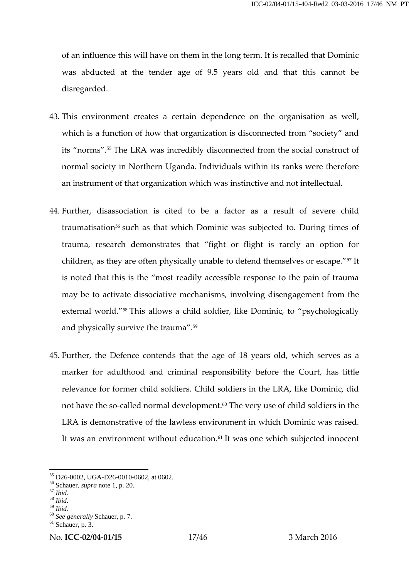of an influence this will have on them in the long term. It is recalled that Dominic was abducted at the tender age of 9.5 years old and that this cannot be disregarded.

- 43. This environment creates a certain dependence on the organisation as well, which is a function of how that organization is disconnected from "society" and its "norms".<sup>55</sup> The LRA was incredibly disconnected from the social construct of normal society in Northern Uganda. Individuals within its ranks were therefore an instrument of that organization which was instinctive and not intellectual.
- 44. Further, disassociation is cited to be a factor as a result of severe child traumatisation<sup>56</sup> such as that which Dominic was subjected to. During times of trauma, research demonstrates that "fight or flight is rarely an option for children, as they are often physically unable to defend themselves or escape."<sup>57</sup> It is noted that this is the "most readily accessible response to the pain of trauma may be to activate dissociative mechanisms, involving disengagement from the external world."<sup>58</sup> This allows a child soldier, like Dominic, to "psychologically and physically survive the trauma".<sup>59</sup>
- 45. Further, the Defence contends that the age of 18 years old, which serves as a marker for adulthood and criminal responsibility before the Court, has little relevance for former child soldiers. Child soldiers in the LRA, like Dominic, did not have the so-called normal development.<sup>60</sup> The very use of child soldiers in the LRA is demonstrative of the lawless environment in which Dominic was raised. It was an environment without education.<sup>61</sup> It was one which subjected innocent

<sup>55</sup> D26-0002, UGA-D26-0010-0602, at 0602. <sup>56</sup> Schauer, *supra* note 1, p. 20. <sup>57</sup> *Ibid*. <sup>58</sup> *Ibid*. <sup>59</sup> *Ibid.* <sup>60</sup> *See generally* Schauer, p. 7. <sup>61</sup> Schauer, p. 3.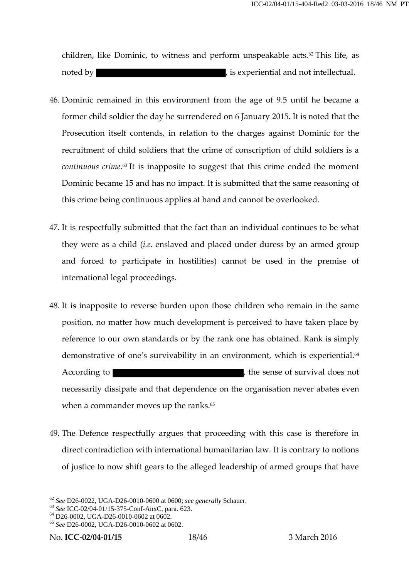children, like Dominic, to witness and perform unspeakable acts.<sup>62</sup> This life, as noted by noted by  $\qquad \qquad$ , is experiential and not intellectual.

- 46. Dominic remained in this environment from the age of 9.5 until he became a former child soldier the day he surrendered on 6 January 2015. It is noted that the Prosecution itself contends, in relation to the charges against Dominic for the recruitment of child soldiers that the crime of conscription of child soldiers is a *continuous crime*.<sup>63</sup> It is inapposite to suggest that this crime ended the moment Dominic became 15 and has no impact. It is submitted that the same reasoning of this crime being continuous applies at hand and cannot be overlooked.
- 47. It is respectfully submitted that the fact than an individual continues to be what they were as a child (*i.e.* enslaved and placed under duress by an armed group and forced to participate in hostilities) cannot be used in the premise of international legal proceedings.
- 48. It is inapposite to reverse burden upon those children who remain in the same position, no matter how much development is perceived to have taken place by reference to our own standards or by the rank one has obtained. Rank is simply demonstrative of one's survivability in an environment, which is experiential.<sup>64</sup> According to **According to**  $\blacksquare$  , the sense of survival does not necessarily dissipate and that dependence on the organisation never abates even when a commander moves up the ranks.<sup>65</sup>
- 49. The Defence respectfully argues that proceeding with this case is therefore in direct contradiction with international humanitarian law. It is contrary to notions of justice to now shift gears to the alleged leadership of armed groups that have

<sup>&</sup>lt;sup>62</sup> See D26-0022, UGA-D26-0010-0600 at 0600; see generally Schauer.<br>
<sup>63</sup> See ICC-02/04-01/15-375-Conf-AnxC, para. 623.<br>
<sup>64</sup> D26-0002, UGA-D26-0010-0602 at 0602.<br>
<sup>65</sup> See D26-0002, UGA-D26-0010-0602 at 0602.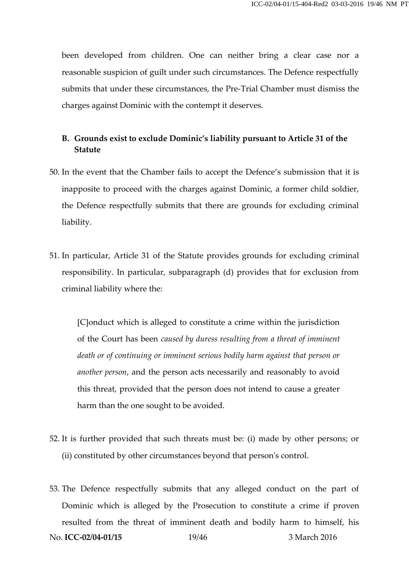been developed from children. One can neither bring a clear case nor a reasonable suspicion of guilt under such circumstances. The Defence respectfully submits that under these circumstances, the Pre-Trial Chamber must dismiss the charges against Dominic with the contempt it deserves.

# **B. Grounds exist to exclude Dominic's liability pursuant to Article 31 of the Statute**

- 50. In the event that the Chamber fails to accept the Defence's submission that it is inapposite to proceed with the charges against Dominic, a former child soldier, the Defence respectfully submits that there are grounds for excluding criminal liability.
- 51. In particular, Article 31 of the Statute provides grounds for excluding criminal responsibility. In particular, subparagraph (d) provides that for exclusion from criminal liability where the:

[C]onduct which is alleged to constitute a crime within the jurisdiction of the Court has been *caused by duress resulting from a threat of imminent death or of continuing or imminent serious bodily harm against that person or another person*, and the person acts necessarily and reasonably to avoid this threat, provided that the person does not intend to cause a greater harm than the one sought to be avoided.

- 52. It is further provided that such threats must be: (i) made by other persons; or (ii) constituted by other circumstances beyond that person's control.
- 53. The Defence respectfully submits that any alleged conduct on the part of Dominic which is alleged by the Prosecution to constitute a crime if proven resulted from the threat of imminent death and bodily harm to himself, his No. **ICC-02/04-01/15** 19/46 3 March 2016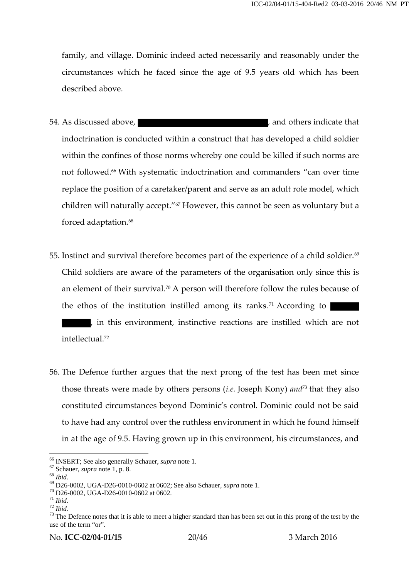family, and village. Dominic indeed acted necessarily and reasonably under the circumstances which he faced since the age of 9.5 years old which has been described above.

- 54. As discussed above,  $\overline{\phantom{a}}$  and others indicate that indoctrination is conducted within a construct that has developed a child soldier within the confines of those norms whereby one could be killed if such norms are not followed.<sup>66</sup> With systematic indoctrination and commanders "can over time replace the position of a caretaker/parent and serve as an adult role model, which children will naturally accept."<sup>67</sup> However, this cannot be seen as voluntary but a forced adaptation.<sup>68</sup>
- 55. Instinct and survival therefore becomes part of the experience of a child soldier.<sup>69</sup> Child soldiers are aware of the parameters of the organisation only since this is an element of their survival.<sup>70</sup> A person will therefore follow the rules because of the ethos of the institution instilled among its ranks.<sup>71</sup> According to , in this environment, instinctive reactions are instilled which are not

intellectual.<sup>72</sup>

56. The Defence further argues that the next prong of the test has been met since those threats were made by others persons (*i.e.* Joseph Kony) *and*<sup>73</sup> that they also constituted circumstances beyond Dominic's control. Dominic could not be said to have had any control over the ruthless environment in which he found himself in at the age of 9.5. Having grown up in this environment, his circumstances, and

<sup>&</sup>lt;sup>66</sup> INSERT; See also generally Schauer, *supra* note 1.<br>
<sup>67</sup> Schauer, *supra* note 1, p. 8.<br>
<sup>68</sup> *Ibid.*<br>
<sup>69</sup> D26-0002, UGA-D26-0010-0602 at 0602; See also Schauer, *supra* note 1.<br>
<sup>70</sup> D26-0002, UGA-D26-0010-0602 at use of the term "or".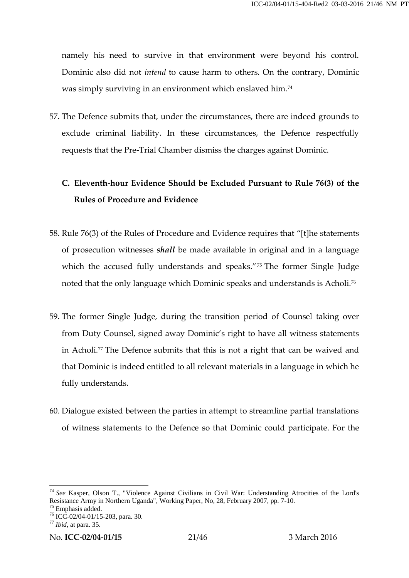namely his need to survive in that environment were beyond his control. Dominic also did not *intend* to cause harm to others. On the contrary, Dominic was simply surviving in an environment which enslaved him.<sup>74</sup>

57. The Defence submits that, under the circumstances, there are indeed grounds to exclude criminal liability. In these circumstances, the Defence respectfully requests that the Pre-Trial Chamber dismiss the charges against Dominic.

# **C. Eleventh-hour Evidence Should be Excluded Pursuant to Rule 76(3) of the Rules of Procedure and Evidence**

- 58. Rule 76(3) of the Rules of Procedure and Evidence requires that "[t]he statements of prosecution witnesses *shall* be made available in original and in a language which the accused fully understands and speaks."<sup>75</sup> The former Single Judge noted that the only language which Dominic speaks and understands is Acholi.<sup>76</sup>
- 59. The former Single Judge, during the transition period of Counsel taking over from Duty Counsel, signed away Dominic's right to have all witness statements in Acholi.<sup>77</sup> The Defence submits that this is not a right that can be waived and that Dominic is indeed entitled to all relevant materials in a language in which he fully understands.
- 60. Dialogue existed between the parties in attempt to streamline partial translations of witness statements to the Defence so that Dominic could participate. For the

<sup>&</sup>lt;sup>74</sup> *See* Kasper, Olson T., "Violence Against Civilians in Civil War: Understanding Atrocities of the Lord's Resistance Army in Northern Uganda", Working Paper, No, 28, February 2007, pp. 7-10.

<sup>&</sup>lt;sup>75</sup> Emphasis added.<br><sup>76</sup> ICC-02/04-01/15-203, para. 30.<br><sup>77</sup> Ibid, at para. 35.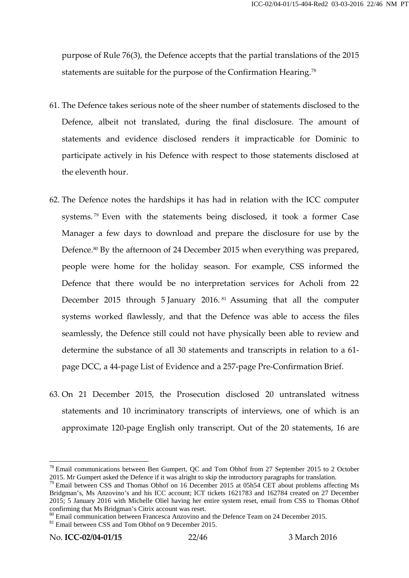purpose of Rule 76(3), the Defence accepts that the partial translations of the 2015 statements are suitable for the purpose of the Confirmation Hearing.<sup>78</sup>

- 61. The Defence takes serious note of the sheer number of statements disclosed to the Defence, albeit not translated, during the final disclosure. The amount of statements and evidence disclosed renders it impracticable for Dominic to participate actively in his Defence with respect to those statements disclosed at the eleventh hour.
- 62. The Defence notes the hardships it has had in relation with the ICC computer systems. <sup>79</sup> Even with the statements being disclosed, it took a former Case Manager a few days to download and prepare the disclosure for use by the Defence.<sup>80</sup> By the afternoon of 24 December 2015 when everything was prepared, people were home for the holiday season. For example, CSS informed the Defence that there would be no interpretation services for Acholi from 22 December 2015 through 5 January 2016. <sup>81</sup> Assuming that all the computer systems worked flawlessly, and that the Defence was able to access the files seamlessly, the Defence still could not have physically been able to review and determine the substance of all 30 statements and transcripts in relation to a 61 page DCC, a 44-page List of Evidence and a 257-page Pre-Confirmation Brief.
- 63. On 21 December 2015, the Prosecution disclosed 20 untranslated witness statements and 10 incriminatory transcripts of interviews, one of which is an approximate 120-page English only transcript. Out of the 20 statements, 16 are

<sup>&</sup>lt;sup>78</sup> Email communications between Ben Gumpert, QC and Tom Obhof from 27 September 2015 to 2 October 2015. Mr Gumpert asked the Defence if it was alright to skip the introductory paragraphs for translation.

<sup>&</sup>lt;sup>79</sup> Email between CSS and Thomas Obhof on 16 December 2015 at 05h54 CET about problems affecting Ms Bridgman's, Ms Anzovino's and his ICC account; ICT tickets 1621783 and 162784 created on 27 December 2015; 5 January 2016 with Michelle Oliel having her entire system reset, email from CSS to Thomas Obhof confirming that Ms Bridgman's Citrix account was reset.<br><sup>80</sup> Email communication between Francesca Anzovino and the Defence Team on 24 December 2015.<br><sup>81</sup> Email between CSS and Tom Obhof on 9 December 2015.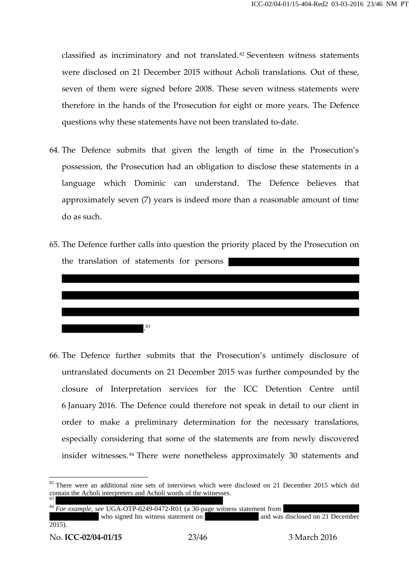classified as incriminatory and not translated.<sup>82</sup> Seventeen witness statements were disclosed on 21 December 2015 without Acholi translations. Out of these, seven of them were signed before 2008. These seven witness statements were therefore in the hands of the Prosecution for eight or more years. The Defence questions why these statements have not been translated to-date.

- 64. The Defence submits that given the length of time in the Prosecution's possession, the Prosecution had an obligation to disclose these statements in a language which Dominic can understand. The Defence believes that approximately seven (7) years is indeed more than a reasonable amount of time do as such.
- 65. The Defence further calls into question the priority placed by the Prosecution on the translation of statements for persons



66. The Defence further submits that the Prosecution's untimely disclosure of untranslated documents on 21 December 2015 was further compounded by the closure of Interpretation services for the ICC Detention Centre until 6 January 2016. The Defence could therefore not speak in detail to our client in order to make a preliminary determination for the necessary translations, especially considering that some of the statements are from newly discovered insider witnesses. <sup>84</sup> There were nonetheless approximately 30 statements and

<sup>84</sup> *For example, see* UGA-OTP-0249-0472-R01 (a 30-page witness statement from<br>who signed his witness statement on and was disclosed on 21 December who signed his witness statement on  $\overline{2015}$ .

<sup>&</sup>lt;sup>82</sup> There were an additional nine sets of interviews which were disclosed on 21 December 2015 which did contain the Acholi interpreters and Acholi words of the witnesses.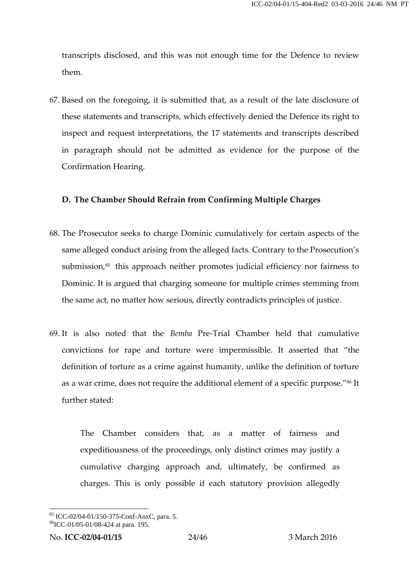transcripts disclosed, and this was not enough time for the Defence to review them.

67. Based on the foregoing, it is submitted that, as a result of the late disclosure of these statements and transcripts, which effectively denied the Defence its right to inspect and request interpretations, the 17 statements and transcripts described in paragraph should not be admitted as evidence for the purpose of the Confirmation Hearing.

## **D. The Chamber Should Refrain from Confirming Multiple Charges**

- 68. The Prosecutor seeks to charge Dominic cumulatively for certain aspects of the same alleged conduct arising from the alleged facts. Contrary to the Prosecution's submission,<sup>85</sup> this approach neither promotes judicial efficiency nor fairness to Dominic. It is argued that charging someone for multiple crimes stemming from the same act, no matter how serious, directly contradicts principles of justice.
- 69. It is also noted that the *Bemba* Pre-Trial Chamber held that cumulative convictions for rape and torture were impermissible. It asserted that "the definition of torture as a crime against humanity, unlike the definition of torture as a war crime, does not require the additional element of a specific purpose."<sup>86</sup> It further stated:

The Chamber considers that, as a matter of fairness and expeditiousness of the proceedings, only distinct crimes may justify a cumulative charging approach and, ultimately, be confirmed as charges. This is only possible if each statutory provision allegedly

 ${}^{85}$  ICC-02/04-01/150-375-Conf-AnxC, para. 5.  ${}^{86}$ ICC-01/05-01/08-424 at para. 195.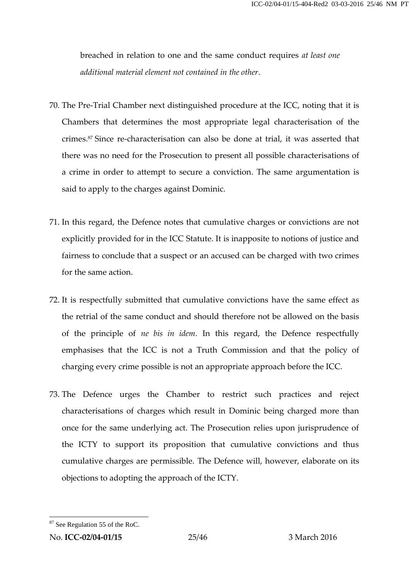breached in relation to one and the same conduct requires *at least one additional material element not contained in the other*.

- 70. The Pre-Trial Chamber next distinguished procedure at the ICC, noting that it is Chambers that determines the most appropriate legal characterisation of the crimes.<sup>87</sup> Since re-characterisation can also be done at trial, it was asserted that there was no need for the Prosecution to present all possible characterisations of a crime in order to attempt to secure a conviction. The same argumentation is said to apply to the charges against Dominic.
- 71. In this regard, the Defence notes that cumulative charges or convictions are not explicitly provided for in the ICC Statute. It is inapposite to notions of justice and fairness to conclude that a suspect or an accused can be charged with two crimes for the same action.
- 72. It is respectfully submitted that cumulative convictions have the same effect as the retrial of the same conduct and should therefore not be allowed on the basis of the principle of *ne bis in idem*. In this regard, the Defence respectfully emphasises that the ICC is not a Truth Commission and that the policy of charging every crime possible is not an appropriate approach before the ICC.
- 73. The Defence urges the Chamber to restrict such practices and reject characterisations of charges which result in Dominic being charged more than once for the same underlying act. The Prosecution relies upon jurisprudence of the ICTY to support its proposition that cumulative convictions and thus cumulative charges are permissible. The Defence will, however, elaborate on its objections to adopting the approach of the ICTY.

<sup>87</sup> See Regulation 55 of the RoC.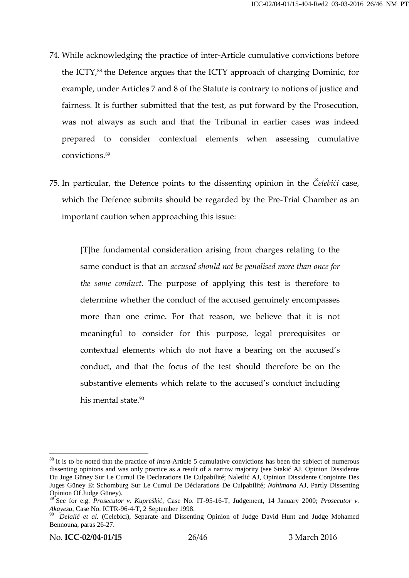- 74. While acknowledging the practice of inter-Article cumulative convictions before the ICTY,<sup>88</sup> the Defence argues that the ICTY approach of charging Dominic, for example, under Articles 7 and 8 of the Statute is contrary to notions of justice and fairness. It is further submitted that the test, as put forward by the Prosecution, was not always as such and that the Tribunal in earlier cases was indeed prepared to consider contextual elements when assessing cumulative convictions.<sup>89</sup>
- 75. In particular, the Defence points to the dissenting opinion in the *Čelebići* case, which the Defence submits should be regarded by the Pre-Trial Chamber as an important caution when approaching this issue:

[T]he fundamental consideration arising from charges relating to the same conduct is that an *accused should not be penalised more than once for the same conduct*. The purpose of applying this test is therefore to determine whether the conduct of the accused genuinely encompasses more than one crime. For that reason, we believe that it is not meaningful to consider for this purpose, legal prerequisites or contextual elements which do not have a bearing on the accused's conduct, and that the focus of the test should therefore be on the substantive elements which relate to the accused's conduct including his mental state.<sup>90</sup>

<sup>88</sup> It is to be noted that the practice of *intra*-Article 5 cumulative convictions has been the subject of numerous dissenting opinions and was only practice as a result of a narrow majority (see Staki AJ, Opinion Dissidente Du Juge Güney Sur Le Cumul De Declarations De Culpabilité; Naletli AJ, Opinion Dissidente Conjointe Des Juges Güney Et Schomburg Sur Le Cumul De Déclarations De Culpabilité; *Nahimana* AJ, Partly Dissenting Opinion Of Judge Güney).

<sup>89</sup> See for e.g. *Prosecutor v. Kupreški*, Case No. IT-95-16-T, Judgement, 14 January 2000; *Prosecutor v. Akayesu*, Case No. ICTR-96-4-T, 2 September 1998.<br><sup>90</sup> *Delali et al.* (Celebici), Separate and Dissenting Opinion of Judge David Hunt and Judge Mohamed

Bennouna, paras 26-27.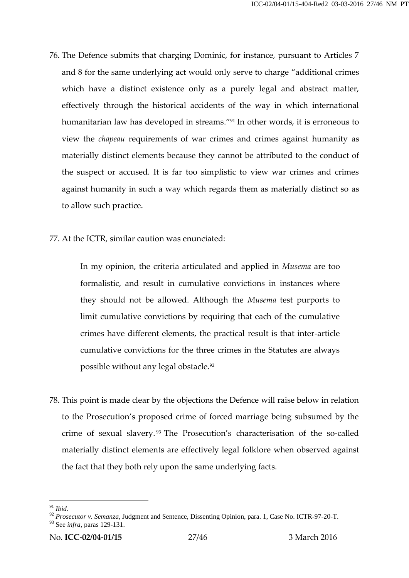- 76. The Defence submits that charging Dominic, for instance, pursuant to Articles 7 and 8 for the same underlying act would only serve to charge "additional crimes which have a distinct existence only as a purely legal and abstract matter, effectively through the historical accidents of the way in which international humanitarian law has developed in streams."<sup>91</sup> In other words, it is erroneous to view the *chapeau* requirements of war crimes and crimes against humanity as materially distinct elements because they cannot be attributed to the conduct of the suspect or accused. It is far too simplistic to view war crimes and crimes against humanity in such a way which regards them as materially distinct so as to allow such practice.
- 77. At the ICTR, similar caution was enunciated:

In my opinion, the criteria articulated and applied in *Musema* are too formalistic, and result in cumulative convictions in instances where they should not be allowed. Although the *Musema* test purports to limit cumulative convictions by requiring that each of the cumulative crimes have different elements, the practical result is that inter-article cumulative convictions for the three crimes in the Statutes are always possible without any legal obstacle.<sup>92</sup>

78. This point is made clear by the objections the Defence will raise below in relation to the Prosecution's proposed crime of forced marriage being subsumed by the crime of sexual slavery. <sup>93</sup> The Prosecution's characterisation of the so-called materially distinct elements are effectively legal folklore when observed against the fact that they both rely upon the same underlying facts.

<sup>91</sup> *Ibid*. <sup>92</sup> *Prosecutor v. Semanza*, Judgment and Sentence, Dissenting Opinion, para. 1, Case No. ICTR-97-20-T.

<sup>93</sup> See *infra,* paras 129-131.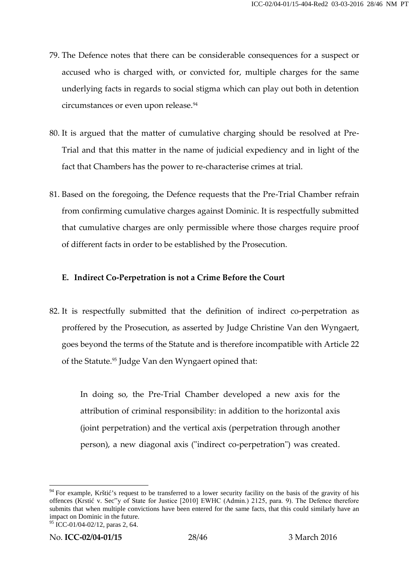- 79. The Defence notes that there can be considerable consequences for a suspect or accused who is charged with, or convicted for, multiple charges for the same underlying facts in regards to social stigma which can play out both in detention circumstances or even upon release.<sup>94</sup>
- 80. It is argued that the matter of cumulative charging should be resolved at Pre- Trial and that this matter in the name of judicial expediency and in light of the fact that Chambers has the power to re-characterise crimes at trial.
- 81. Based on the foregoing, the Defence requests that the Pre-Trial Chamber refrain from confirming cumulative charges against Dominic. It is respectfully submitted that cumulative charges are only permissible where those charges require proof of different facts in order to be established by the Prosecution.

# **E. Indirect Co-Perpetration is not a Crime Before the Court**

82. It is respectfully submitted that the definition of indirect co-perpetration as proffered by the Prosecution, as asserted by Judge Christine Van den Wyngaert, goes beyond the terms of the Statute and is therefore incompatible with Article 22 of the Statute.<sup>95</sup> Judge Van den Wyngaert opined that:

In doing so, the Pre-Trial Chamber developed a new axis for the attribution of criminal responsibility: in addition to the horizontal axis (joint perpetration) and the vertical axis (perpetration through another person), a new diagonal axis ("indirect co-perpetration") was created.

<sup>&</sup>lt;sup>94</sup> For example, Kršti<sup>\*</sup>s request to be transferred to a lower security facility on the basis of the gravity of his offences (Krsti v. Sec"y of State for Justice [2010] EWHC (Admin.) 2125, para. 9). The Defence therefore submits that when multiple convictions have been entered for the same facts, that this could similarly have an impact on Dominic in the future.

 $95$  ICC-01/04-02/12, paras 2, 64.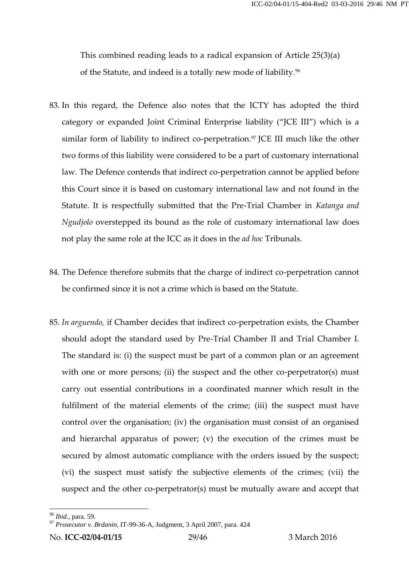This combined reading leads to a radical expansion of Article 25(3)(a) of the Statute, and indeed is a totally new mode of liability.<sup>96</sup>

- 83. In this regard, the Defence also notes that the ICTY has adopted the third category or expanded Joint Criminal Enterprise liability ("JCE III") which is a similar form of liability to indirect co-perpetration.<sup>97</sup> JCE III much like the other two forms of this liability were considered to be a part of customary international law. The Defence contends that indirect co-perpetration cannot be applied before this Court since it is based on customary international law and not found in the Statute. It is respectfully submitted that the Pre-Trial Chamber in *Katanga and Ngudjolo* overstepped its bound as the role of customary international law does not play the same role at the ICC as it does in the *ad hoc* Tribunals.
- 84. The Defence therefore submits that the charge of indirect co-perpetration cannot be confirmed since it is not a crime which is based on the Statute.
- 85. *In arguendo,* if Chamber decides that indirect co-perpetration exists, the Chamber should adopt the standard used by Pre-Trial Chamber II and Trial Chamber I. The standard is: (i) the suspect must be part of a common plan or an agreement with one or more persons; (ii) the suspect and the other co-perpetrator(s) must carry out essential contributions in a coordinated manner which result in the fulfilment of the material elements of the crime; (iii) the suspect must have control over the organisation; (iv) the organisation must consist of an organised and hierarchal apparatus of power; (v) the execution of the crimes must be secured by almost automatic compliance with the orders issued by the suspect; control over the organisation; (iv) the organisation must consist or an organised<br>and hierarchal apparatus of power; (v) the execution of the crimes must be<br>secured by almost automatic compliance with the orders issued by suspect and the other co-perpetrator(s) must be mutually aware and accept that

No. **ICC-02/04-01/15** 29/46 3 March 2016

<sup>96</sup> *Ibid.*, para. 59. <sup>97</sup> *Prosecutor v. Brdanin*, IT-99-36-A, Judgment, 3 April 2007, para. <sup>424</sup>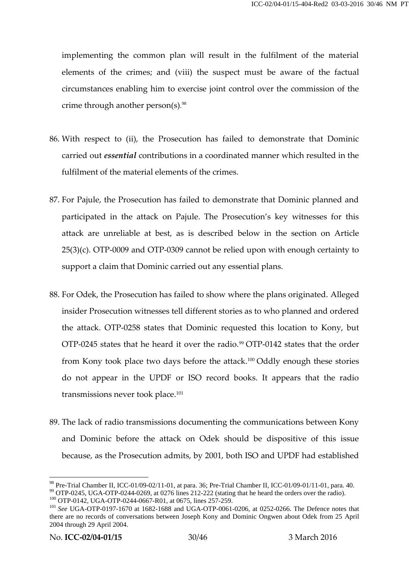implementing the common plan will result in the fulfilment of the material elements of the crimes; and (viii) the suspect must be aware of the factual circumstances enabling him to exercise joint control over the commission of the crime through another person(s). $98$ 

- 86. With respect to (ii), the Prosecution has failed to demonstrate that Dominic carried out *essential* contributions in a coordinated manner which resulted in the fulfilment of the material elements of the crimes.
- 87. For Pajule, the Prosecution has failed to demonstrate that Dominic planned and participated in the attack on Pajule. The Prosecution's key witnesses for this attack are unreliable at best, as is described below in the section on Article 25(3)(c). OTP-0009 and OTP-0309 cannot be relied upon with enough certainty to support a claim that Dominic carried out any essential plans.
- 88. For Odek, the Prosecution has failed to show where the plans originated. Alleged insider Prosecution witnesses tell different stories as to who planned and ordered the attack. OTP-0258 states that Dominic requested this location to Kony, but OTP-0245 states that he heard it over the radio.<sup>99</sup> OTP-0142 states that the order from Kony took place two days before the attack.<sup>100</sup> Oddly enough these stories do not appear in the UPDF or ISO record books. It appears that the radio transmissions never took place.<sup>101</sup>
- 89. The lack of radio transmissions documenting the communications between Kony and Dominic before the attack on Odek should be dispositive of this issue because, as the Prosecution admits, by 2001, both ISO and UPDF had established

<sup>&</sup>lt;sup>98</sup> Pre-Trial Chamber II, ICC-01/09-02/11-01, at para. 36; Pre-Trial Chamber II, ICC-01/09-01/11-01, para. 40.<br><sup>99</sup> OTP-0245, UGA-OTP-0244-0269, at 0276 lines 212-222 (stating that he heard the orders over the radio).<br><sup>1</sup>

there are no records of conversations between Joseph Kony and Dominic Ongwen about Odek from 25 April 2004 through 29 April 2004.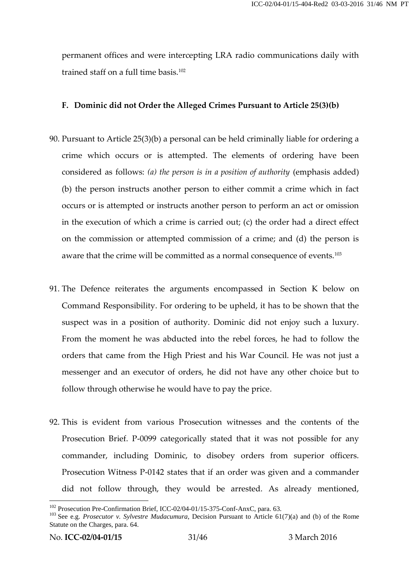permanent offices and were intercepting LRA radio communications daily with trained staff on a full time basis.<sup>102</sup>

### **F. Dominic did not Order the Alleged Crimes Pursuant to Article 25(3)(b)**

- 90. Pursuant to Article 25(3)(b) a personal can be held criminally liable for ordering a crime which occurs or is attempted. The elements of ordering have been considered as follows: *(a) the person is in a position of authority* (emphasis added) Fursuant to Article 25(3)(b) a personal can be held criminally liable for ordering a<br>crime which occurs or is attempted. The elements of ordering have been<br>considered as follows: (*a*) the person is in a position of autho occurs or is attempted or instructs another person to perform an act or omission in the execution of which a crime is carried out; (c) the order had a direct effect on the commission or attempted commission of a crime; and (d) the person is aware that the crime will be committed as a normal consequence of events.<sup>103</sup>
- 91. The Defence reiterates the arguments encompassed in Section K below on Command Responsibility. For ordering to be upheld, it has to be shown that the suspect was in a position of authority. Dominic did not enjoy such a luxury. From the moment he was abducted into the rebel forces, he had to follow the orders that came from the High Priest and his War Council. He was not just a messenger and an executor of orders, he did not have any other choice but to follow through otherwise he would have to pay the price.
- 92. This is evident from various Prosecution witnesses and the contents of the Prosecution Brief. P-0099 categorically stated that it was not possible for any commander, including Dominic, to disobey orders from superior officers. Prosecution Witness P-0142 states that if an order was given and a commander did not follow through, they would be arrested. As already mentioned,

<sup>&</sup>lt;sup>102</sup> Prosecution Pre-Confirmation Brief, ICC-02/04-01/15-375-Conf-AnxC, para. 63.<br><sup>103</sup> See e.g. *Prosecutor v. Sylvestre Mudacumura*, Decision Pursuant to Article 61(7)(a) and (b) of the Rome Statute on the Charges, para. 64.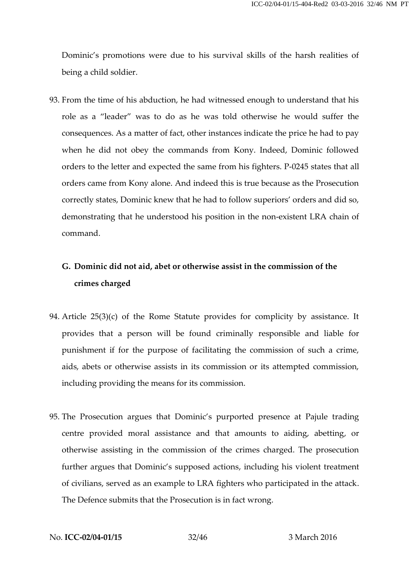Dominic's promotions were due to his survival skills of the harsh realities of being a child soldier.

93. From the time of his abduction, he had witnessed enough to understand that his role as a "leader" was to do as he was told otherwise he would suffer the consequences. As a matter of fact, other instances indicate the price he had to pay when he did not obey the commands from Kony. Indeed, Dominic followed orders to the letter and expected the same from his fighters. P-0245 states that all orders came from Kony alone. And indeed this is true because as the Prosecution correctly states, Dominic knew that he had to follow superiors' orders and did so, demonstrating that he understood his position in the non-existent LRA chain of command.

# **G. Dominic did not aid, abet or otherwise assist in the commission of the crimes charged**

- 94. Article 25(3)(c) of the Rome Statute provides for complicity by assistance. It provides that a person will be found criminally responsible and liable for punishment if for the purpose of facilitating the commission of such a crime, aids, abets or otherwise assists in its commission or its attempted commission, including providing the means for its commission.
- 95. The Prosecution argues that Dominic's purported presence at Pajule trading centre provided moral assistance and that amounts to aiding, abetting, or otherwise assisting in the commission of the crimes charged. The prosecution further argues that Dominic's supposed actions, including his violent treatment of civilians, served as an example to LRA fighters who participated in the attack. The Defence submits that the Prosecution is in fact wrong.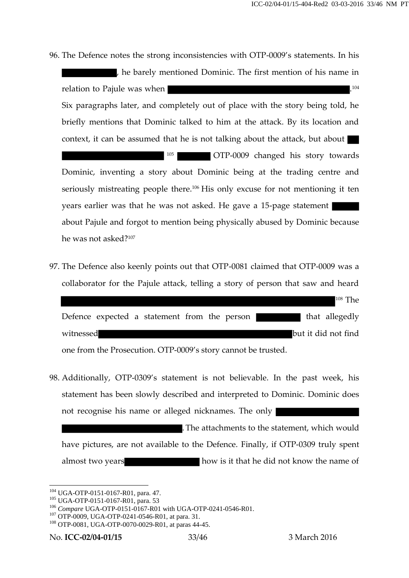- 96. The Defence notes the strong inconsistencies with OTP-0009's statements. In his , he barely mentioned Dominic. The first mention of his name in relation to Pajule was when Six paragraphs later, and completely out of place with the story being told, he briefly mentions that Dominic talked to him at the attack. By its location and context, it can be assumed that he is not talking about the attack, but about <sup>105</sup> OTP-0009 changed his story towards Dominic, inventing a story about Dominic being at the trading centre and seriously mistreating people there.<sup>106</sup> His only excuse for not mentioning it ten years earlier was that he was not asked. He gave a 15-page statement about Pajule and forgot to mention being physically abused by Dominic because he was not asked?<sup>107</sup>
- 97. The Defence also keenly points out that OTP-0081 claimed that OTP-0009 was a collaborator for the Pajule attack, telling a story of person that saw and heard

| Defence expected a statement from the person | that allegedly      |
|----------------------------------------------|---------------------|
| witnessed                                    | but it did not find |

one from the Prosecution. OTP-0009's story cannot be trusted.

98. Additionally, OTP-0309's statement is not believable. In the past week, his statement has been slowly described and interpreted to Dominic. Dominic does not recognise his name or alleged nicknames. The only

.The attachments to the statement, which would have pictures, are not available to the Defence. Finally, if OTP-0309 truly spent almost two years how is it that he did not know the name of

<sup>&</sup>lt;sup>104</sup> UGA-OTP-0151-0167-R01, para. 47.<br><sup>105</sup> UGA-OTP-0151-0167-R01, para. 53

<sup>&</sup>lt;sup>106</sup> *Compare* UGA-OTP-0151-0167-R01 with UGA-OTP-0241-0546-R01.<br><sup>107</sup> OTP-0009, UGA-OTP-0241-0546-R01, at para. 31.<br><sup>108</sup> OTP-0081, UGA-OTP-0070-0029-R01, at paras 44-45.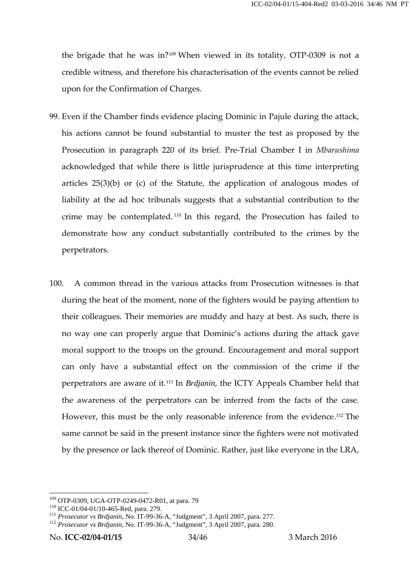the brigade that he was in?<sup>109</sup> When viewed in its totality, OTP-0309 is not a credible witness, and therefore his characterisation of the events cannot be relied upon for the Confirmation of Charges.

- 99. Even if the Chamber finds evidence placing Dominic in Pajule during the attack, his actions cannot be found substantial to muster the test as proposed by the Prosecution in paragraph 220 of its brief. Pre-Trial Chamber I in *Mbarushima* acknowledged that while there is little jurisprudence at this time interpreting articles 25(3)(b) or (c) of the Statute, the application of analogous modes of liability at the ad hoc tribunals suggests that a substantial contribution to the crime may be contemplated. <sup>110</sup> In this regard, the Prosecution has failed to demonstrate how any conduct substantially contributed to the crimes by the perpetrators.
- 100. A common thread in the various attacks from Prosecution witnesses is that during the heat of the moment, none of the fighters would be paying attention to their colleagues. Their memories are muddy and hazy at best. As such, there is no way one can properly argue that Dominic's actions during the attack gave moral support to the troops on the ground. Encouragement and moral support can only have a substantial effect on the commission of the crime if the perpetrators are aware of it.<sup>111</sup> In *Brdjanin*, the ICTY Appeals Chamber held that the awareness of the perpetrators can be inferred from the facts of the case. However, this must be the only reasonable inference from the evidence.<sup>112</sup> The same cannot be said in the present instance since the fighters were not motivated by the presence or lack thereof of Dominic. Rather, just like everyone in the LRA,

<sup>109</sup> OTP-0309, UGA-OTP-0249-0472-R01, at para. 79

<sup>110</sup> ICC-01/04-01/10-465-Red, para. 279.<br><sup>111</sup> *Prosecutor vs Brdjanin*, No. IT-99-36-A, "Judgment", 3 April 2007, para. 277.<br><sup>112</sup> *Prosecutor vs Brdjanin*, No. IT-99-36-A, "Judgment", 3 April 2007, para. 280.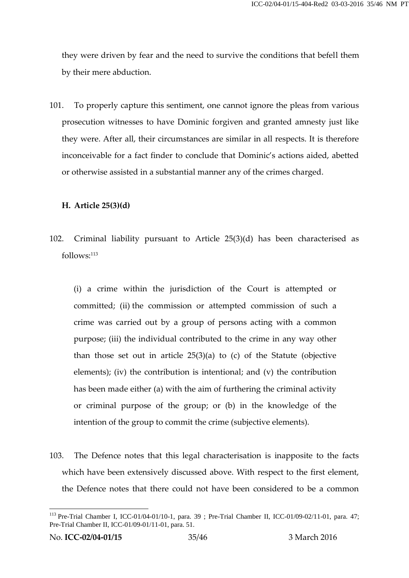they were driven by fear and the need to survive the conditions that befell them by their mere abduction.

101. To properly capture this sentiment, one cannot ignore the pleas from various prosecution witnesses to have Dominic forgiven and granted amnesty just like they were. After all, their circumstances are similar in all respects. It is therefore inconceivable for a fact finder to conclude that Dominic's actions aided, abetted or otherwise assisted in a substantial manner any of the crimes charged.

#### **H. Article 25(3)(d)**

102. Criminal liability pursuant to Article 25(3)(d) has been characterised as follows:<sup>113</sup>

(i) a crime within the jurisdiction of the Court is attempted or committed; (ii) the commission or attempted commission of such a crime was carried out by a group of persons acting with a common purpose; (iii) the individual contributed to the crime in any way other than those set out in article  $25(3)(a)$  to (c) of the Statute (objective elements); (iv) the contribution is intentional; and (v) the contribution has been made either (a) with the aim of furthering the criminal activity or criminal purpose of the group; or (b) in the knowledge of the intention of the group to commit the crime (subjective elements).

103. The Defence notes that this legal characterisation is inapposite to the facts which have been extensively discussed above. With respect to the first element, the Defence notes that there could not have been considered to be a common

<sup>113</sup> Pre-Trial Chamber I, ICC-01/04-01/10-1, para. 39 ; Pre-Trial Chamber II, ICC-01/09-02/11-01, para. 47; Pre-Trial Chamber II, ICC-01/09-01/11-01, para. 51.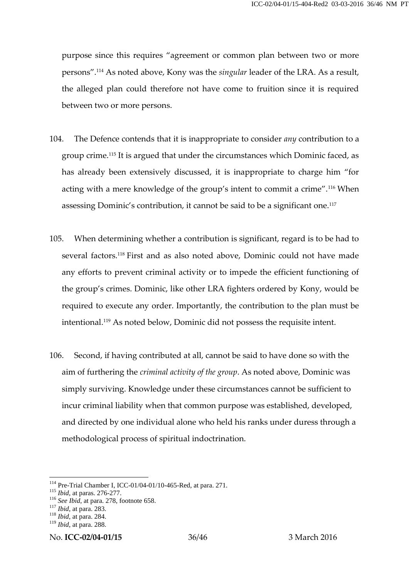purpose since this requires "agreement or common plan between two or more persons".<sup>114</sup> As noted above, Kony was the *singular* leader of the LRA. As a result, the alleged plan could therefore not have come to fruition since it is required between two or more persons.

- 104. The Defence contends that it is inappropriate to consider *any* contribution to a group crime.<sup>115</sup> It is argued that under the circumstances which Dominic faced, as has already been extensively discussed, it is inappropriate to charge him "for acting with a mere knowledge of the group's intent to commit a crime".<sup>116</sup> When assessing Dominic's contribution, it cannot be said to be a significant one.<sup>117</sup>
- 105. When determining whether a contribution is significant, regard is to be had to several factors.<sup>118</sup> First and as also noted above, Dominic could not have made any efforts to prevent criminal activity or to impede the efficient functioning of the group's crimes. Dominic, like other LRA fighters ordered by Kony, would be required to execute any order. Importantly, the contribution to the plan must be intentional.<sup>119</sup> As noted below, Dominic did not possess the requisite intent.
- 106. Second, if having contributed at all, cannot be said to have done so with the aim of furthering the *criminal activity of the group*. As noted above, Dominic was simply surviving. Knowledge under these circumstances cannot be sufficient to incur criminal liability when that common purpose was established, developed, and directed by one individual alone who held his ranks under duress through a methodological process of spiritual indoctrination.

<sup>114</sup> Pre-Trial Chamber I, ICC-01/04-01/10-465-Red, at para. 271. <sup>115</sup> *Ibid*, at paras. 276-277. <sup>116</sup> *See Ibid*, at para. 278, footnote 658. <sup>117</sup> *Ibid*, at para. 283. <sup>118</sup> *Ibid*, at para. 284.

<sup>119</sup> *Ibid*, at para. 288.

No. **ICC-02/04-01/15** 36/46 3 March 2016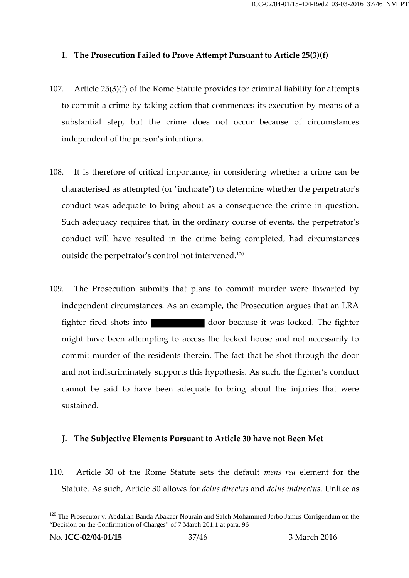### **I. The Prosecution Failed to Prove Attempt Pursuant to Article 25(3)(f)**

- 107. Article 25(3)(f) of the Rome Statute provides for criminal liability for attempts to commit a crime by taking action that commences its execution by means of a substantial step, but the crime does not occur because of circumstances independent of the person's intentions.
- 108. It is therefore of critical importance, in considering whether a crime can be characterised as attempted (or "inchoate") to determine whether the perpetrator's conduct was adequate to bring about as a consequence the crime in question. Such adequacy requires that, in the ordinary course of events, the perpetrator's conduct will have resulted in the crime being completed, had circumstances outside the perpetrator's control not intervened.<sup>120</sup>
- 109. The Prosecution submits that plans to commit murder were thwarted by independent circumstances. As an example, the Prosecution argues that an LRA fighter fired shots into door because it was locked. The fighter might have been attempting to access the locked house and not necessarily to commit murder of the residents therein. The fact that he shot through the door and not indiscriminately supports this hypothesis. As such, the fighter's conduct cannot be said to have been adequate to bring about the injuries that were sustained.

### **J. The Subjective Elements Pursuant to Article 30 have not Been Met**

110. Article 30 of the Rome Statute sets the default *mens rea* element for the Statute. As such, Article 30 allows for *dolus directus* and *dolus indirectus*. Unlike as

<sup>&</sup>lt;sup>120</sup> The Prosecutor v. Abdallah Banda Abakaer Nourain and Saleh Mohammed Jerbo Jamus Corrigendum on the "Decision on the Confirmation of Charges" of 7 March 201,1 at para. 96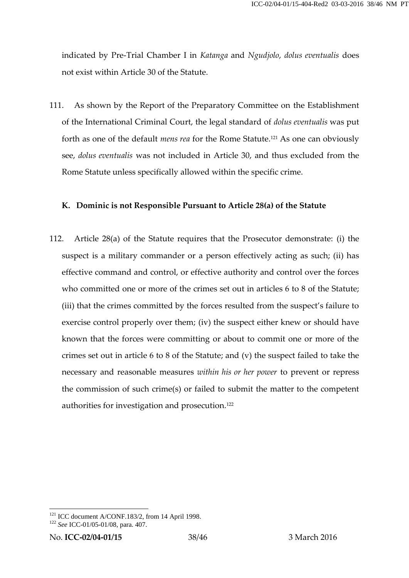indicated by Pre-Trial Chamber I in *Katanga* and *Ngudjolo*, *dolus eventualis* does not exist within Article 30 of the Statute.

111. As shown by the Report of the Preparatory Committee on the Establishment of the International Criminal Court, the legal standard of *dolus eventualis* was put forth as one of the default *mens rea* for the Rome Statute.<sup>121</sup> As one can obviously see, *dolus eventualis* was not included in Article 30, and thus excluded from the Rome Statute unless specifically allowed within the specific crime.

#### **K. Dominic is not Responsible Pursuant to Article 28(a) of the Statute**

112. Article 28(a) of the Statute requires that the Prosecutor demonstrate: (i) the suspect is a military commander or a person effectively acting as such; (ii) has effective command and control, or effective authority and control over the forces who committed one or more of the crimes set out in articles 6 to 8 of the Statute; suspect is a military commander or a person errectively acting as such; (ii) has<br>effective command and control, or effective authority and control over the forces<br>who committed one or more of the crimes set out in articles exercise control properly over them; (iv) the suspect either knew or should have known that the forces were committing or about to commit one or more of the crimes set out in article 6 to 8 of the Statute; and (v) the suspect failed to take the necessary and reasonable measures *within his or her power* to prevent or repress the commission of such crime(s) or failed to submit the matter to the competent authorities for investigation and prosecution.<sup>122</sup>

<sup>121</sup> ICC document A/CONF.183/2, from 14 April 1998. <sup>122</sup> *See* ICC-01/05-01/08, para. 407.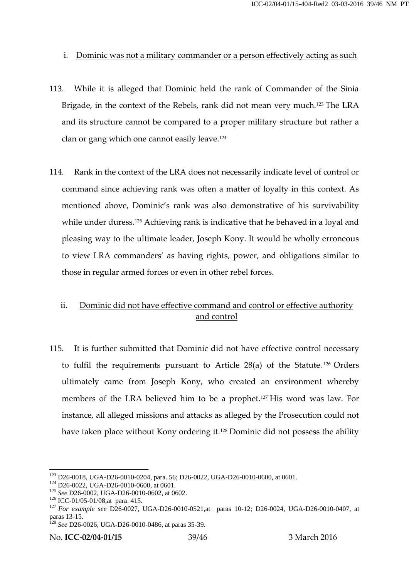### i. Dominic was not a military commander or a person effectively acting as such

- 113. While it is alleged that Dominic held the rank of Commander of the Sinia Brigade, in the context of the Rebels, rank did not mean very much.<sup>123</sup> The LRA and its structure cannot be compared to a proper military structure but rather a clan or gang which one cannot easily leave.<sup>124</sup>
- 114. Rank in the context of the LRA does not necessarily indicate level of control or command since achieving rank was often a matter of loyalty in this context. As mentioned above, Dominic's rank was also demonstrative of his survivability while under duress.<sup>125</sup> Achieving rank is indicative that he behaved in a loyal and pleasing way to the ultimate leader, Joseph Kony. It would be wholly erroneous to view LRA commanders' as having rights, power, and obligations similar to those in regular armed forces or even in other rebel forces.

# ii. Dominic did not have effective command and control or effective authority and control

115. It is further submitted that Dominic did not have effective control necessary to fulfil the requirements pursuant to Article 28(a) of the Statute. <sup>126</sup> Orders ultimately came from Joseph Kony, who created an environment whereby members of the LRA believed him to be a prophet.<sup>127</sup> His word was law. For instance, all alleged missions and attacks as alleged by the Prosecution could not have taken place without Kony ordering it.<sup>128</sup> Dominic did not possess the ability

<sup>&</sup>lt;sup>123</sup> D26-0018, UGA-D26-0010-0204, para. 56; D26-0022, UGA-D26-0010-0600, at 0601.<br><sup>124</sup> D26-0022, UGA-D26-0010-0600, at 0601.<br><sup>125</sup> See D26-0002, UGA-D26-0010-0600, at 0602.<br><sup>126</sup> ICC-01/05-01/08,at para. 415.<br><sup>126</sup> ICCparas 13-15. <sup>128</sup> *See* D26-0026, UGA-D26-0010-0486, at paras 35-39.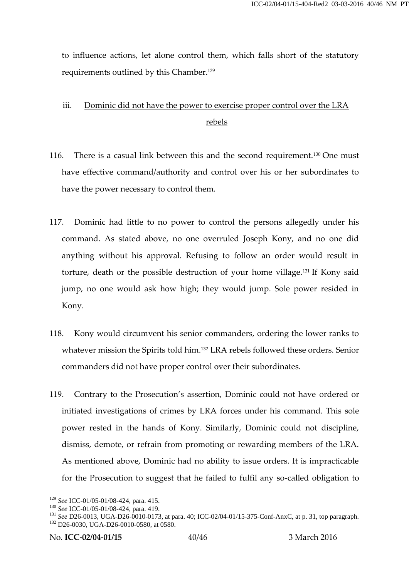to influence actions, let alone control them, which falls short of the statutory requirements outlined by this Chamber.<sup>129</sup>

# iii. Dominic did not have the power to exercise proper control over the LRA rebels

- 116. There is a casual link between this and the second requirement.<sup>130</sup> One must have effective command/authority and control over his or her subordinates to have the power necessary to control them.
- 117. Dominic had little to no power to control the persons allegedly under his command. As stated above, no one overruled Joseph Kony, and no one did anything without his approval. Refusing to follow an order would result in torture, death or the possible destruction of your home village.<sup>131</sup> If Kony said jump, no one would ask how high; they would jump. Sole power resided in Kony.
- 118. Kony would circumvent his senior commanders, ordering the lower ranks to whatever mission the Spirits told him.<sup>132</sup> LRA rebels followed these orders. Senior commanders did not have proper control over their subordinates.
- 119. Contrary to the Prosecution's assertion, Dominic could not have ordered or initiated investigations of crimes by LRA forces under his command. This sole power rested in the hands of Kony. Similarly, Dominic could not discipline, dismiss, demote, or refrain from promoting or rewarding members of the LRA. As mentioned above, Dominic had no ability to issue orders. It is impracticable for the Prosecution to suggest that he failed to fulfil any so-called obligation to

<sup>&</sup>lt;sup>129</sup> See ICC-01/05-01/08-424, para. 415.<br><sup>130</sup> See ICC-01/05-01/08-424, para. 419.<br><sup>131</sup> See D26-0013, UGA-D26-0010-0173, at para. 40; ICC-02/04-01/15-375-Conf-AnxC, at p. 31, top paragraph.<br><sup>132</sup> D26-0030, UGA-D26-0010-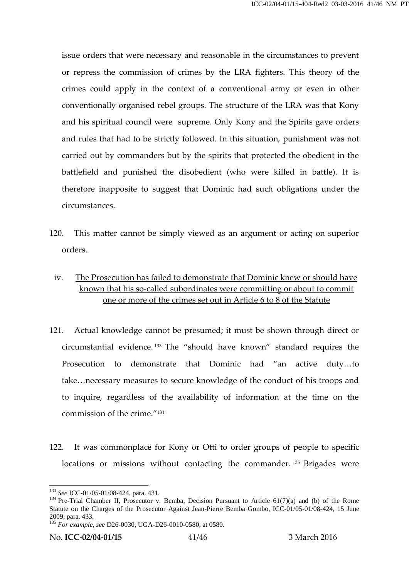issue orders that were necessary and reasonable in the circumstances to prevent or repress the commission of crimes by the LRA fighters. This theory of the crimes could apply in the context of a conventional army or even in other conventionally organised rebel groups. The structure of the LRA was that Kony and his spiritual council were supreme. Only Kony and the Spirits gave orders and rules that had to be strictly followed. In this situation, punishment was not carried out by commanders but by the spirits that protected the obedient in the battlefield and punished the disobedient (who were killed in battle). It is therefore inapposite to suggest that Dominic had such obligations under the circumstances.

- 120. This matter cannot be simply viewed as an argument or acting on superior orders.
	- iv. The Prosecution has failed to demonstrate that Dominic knew or should have known that his so-called subordinates were committing or about to commit one or more of the crimes set out in Article 6 to 8 of the Statute
- 121. Actual knowledge cannot be presumed; it must be shown through direct or circumstantial evidence. <sup>133</sup> The "should have known" standard requires the Prosecution to demonstrate that Dominic had "an active duty…to take…necessary measures to secure knowledge of the conduct of his troops and to inquire, regardless of the availability of information at the time on the commission of the crime." 134
- 122. It was commonplace for Kony or Otti to order groups of people to specific locations or missions without contacting the commander. <sup>135</sup> Brigades were

<sup>&</sup>lt;sup>133</sup> *See* ICC-01/05-01/08-424, para. 431.<br><sup>134</sup> Pre-Trial Chamber II, Prosecutor v. Bemba, Decision Pursuant to Article 61(7)(a) and (b) of the Rome Statute on the Charges of the Prosecutor Against Jean-Pierre Bemba Gombo, ICC-01/05-01/08-424, 15 June

<sup>2009,</sup> para. 433. <sup>135</sup> *For example, see* D26-0030, UGA-D26-0010-0580, at 0580.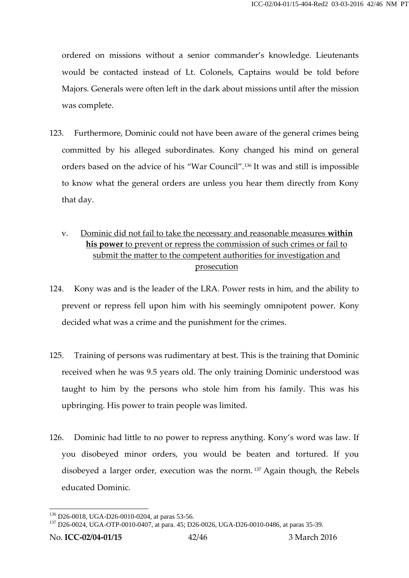ordered on missions without a senior commander's knowledge. Lieutenants would be contacted instead of Lt. Colonels, Captains would be told before Majors. Generals were often left in the dark about missions until after the mission was complete.

- 123. Furthermore, Dominic could not have been aware of the general crimes being committed by his alleged subordinates. Kony changed his mind on general orders based on the advice of his "War Council".<sup>136</sup> It was and still is impossible to know what the general orders are unless you hear them directly from Kony that day.
	- v. Dominic did not fail to take the necessary and reasonable measures **within his power** to prevent or repress the commission of such crimes or fail to submit the matter to the competent authorities for investigation and prosecution
- 124. Kony was and is the leader of the LRA. Power rests in him, and the ability to prevent or repress fell upon him with his seemingly omnipotent power. Kony decided what was a crime and the punishment for the crimes.
- 125. Training of persons was rudimentary at best. This is the training that Dominic received when he was 9.5 years old. The only training Dominic understood was taught to him by the persons who stole him from his family. This was his upbringing. His power to train people was limited.
- 126. Dominic had little to no power to repress anything. Kony's word was law. If you disobeyed minor orders, you would be beaten and tortured. If you disobeyed a larger order, execution was the norm. <sup>137</sup> Again though, the Rebels educated Dominic.

<sup>&</sup>lt;sup>136</sup> D26-0018, UGA-D26-0010-0204, at paras 53-56.<br><sup>137</sup> D26-0024, UGA-OTP-0010-0407, at para. 45; D26-0026, UGA-D26-0010-0486, at paras 35-39.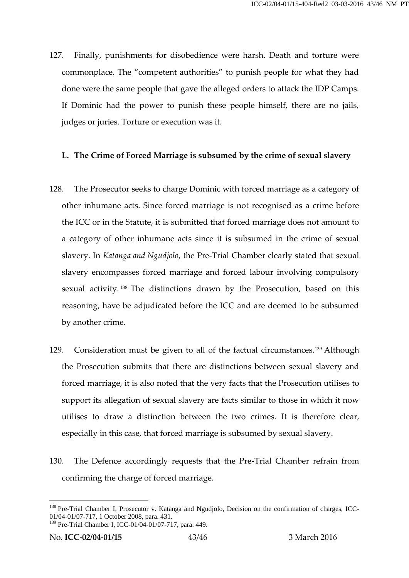127. Finally, punishments for disobedience were harsh. Death and torture were commonplace. The "competent authorities" to punish people for what they had done were the same people that gave the alleged orders to attack the IDP Camps. If Dominic had the power to punish these people himself, there are no jails, judges or juries. Torture or execution was it.

## **L. The Crime of Forced Marriage is subsumed by the crime of sexual slavery**

- 128. The Prosecutor seeks to charge Dominic with forced marriage as a category of other inhumane acts. Since forced marriage is not recognised as a crime before the ICC or in the Statute, it is submitted that forced marriage does not amount to a category of other inhumane acts since it is subsumed in the crime of sexual slavery. In *Katanga and Ngudjolo*, the Pre-Trial Chamber clearly stated that sexual slavery encompasses forced marriage and forced labour involving compulsory sexual activity.<sup>138</sup> The distinctions drawn by the Prosecution, based on this reasoning, have be adjudicated before the ICC and are deemed to be subsumed by another crime.
- 129. Consideration must be given to all of the factual circumstances.<sup>139</sup> Although the Prosecution submits that there are distinctions between sexual slavery and forced marriage, it is also noted that the very facts that the Prosecution utilises to support its allegation of sexual slavery are facts similar to those in which it now utilises to draw a distinction between the two crimes. It is therefore clear, especially in this case, that forced marriage is subsumed by sexual slavery.
- 130. The Defence accordingly requests that the Pre-Trial Chamber refrain from confirming the charge of forced marriage.

<sup>&</sup>lt;sup>138</sup> Pre-Trial Chamber I, Prosecutor v. Katanga and Ngudjolo, Decision on the confirmation of charges, ICC-01/04-01/07-717, 1 October 2008, para. 431.

<sup>139</sup> Pre-Trial Chamber I, ICC-01/04-01/07-717, para. 449.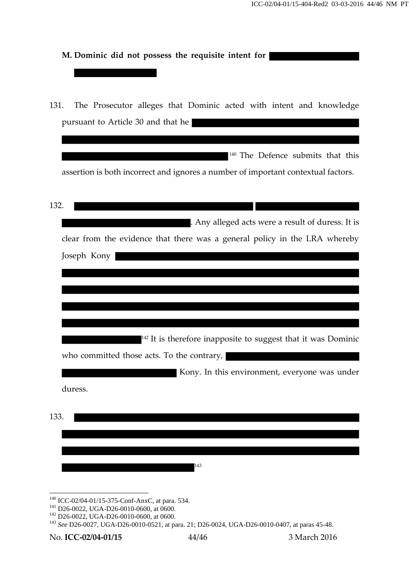| M. Dominic did not possess the requisite intent for                               |
|-----------------------------------------------------------------------------------|
|                                                                                   |
|                                                                                   |
| The Prosecutor alleges that Dominic acted with intent and knowledge<br>131.       |
| pursuant to Article 30 and that he                                                |
|                                                                                   |
| <sup>140</sup> The Defence submits that this                                      |
| assertion is both incorrect and ignores a number of important contextual factors. |
|                                                                                   |
| 132.                                                                              |
| . Any alleged acts were a result of duress. It is                                 |
| clear from the evidence that there was a general policy in the LRA whereby        |
| Joseph Kony                                                                       |
|                                                                                   |
|                                                                                   |
|                                                                                   |
|                                                                                   |
| <sup>142</sup> It is therefore inapposite to suggest that it was Dominic          |
| who committed those acts. To the contrary,                                        |
| Kony. In this environment, everyone was under                                     |
| duress.                                                                           |
| 133.                                                                              |
|                                                                                   |
|                                                                                   |
| 143                                                                               |
|                                                                                   |

 $\frac{140}{140} \frac{ICC-02/04-01/15-375-Conf-AnxC, at para. 534.}{D26-0022, UGA-D26-0010-0600, at 0600.}$ <br>  $\frac{142}{143}$  D26-0022, UGA-D26-0010-0600, at 0600.<br>  $\frac{143}{143}$  See D26-0027, UGA-D26-0010-0521, at para. 21; D26-0024, UGA-D26-0010-04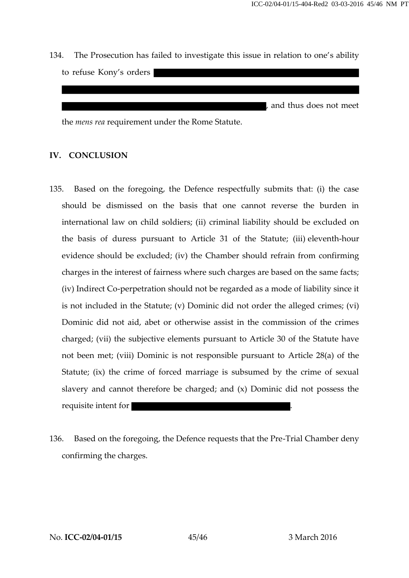134. The Prosecution has failed to investigate this issue in relation to one's ability to refuse Kony's orders

, and thus does not meet

the *mens rea* requirement under the Rome Statute.

### **IV. CONCLUSION**

- 135. Based on the foregoing, the Defence respectfully submits that: (i) the case should be dismissed on the basis that one cannot reverse the burden in international law on child soldiers; (ii) criminal liability should be excluded on the basis of duress pursuant to Article 31 of the Statute; (iii) eleventh-hour evidence should be excluded; (iv) the Chamber should refrain from confirming charges in the interest of fairness where such charges are based on the same facts; the basis of duress pursuant to Article 31 of the Statute; (iii) eleventh-hour<br>evidence should be excluded; (iv) the Chamber should refrain from confirming<br>charges in the interest of fairness where such charges are based o is not included in the Statute; (v) Dominic did not order the alleged crimes; (vi) Dominic did not aid, abet or otherwise assist in the commission of the crimes charged; (vii) the subjective elements pursuant to Article 30 of the Statute have not been met; (viii) Dominic is not responsible pursuant to Article 28(a) of the Statute; (ix) the crime of forced marriage is subsumed by the crime of sexual slavery and cannot therefore be charged; and (x) Dominic did not possess the requisite intent for .
- 136. Based on the foregoing, the Defence requests that the Pre-Trial Chamber deny confirming the charges.